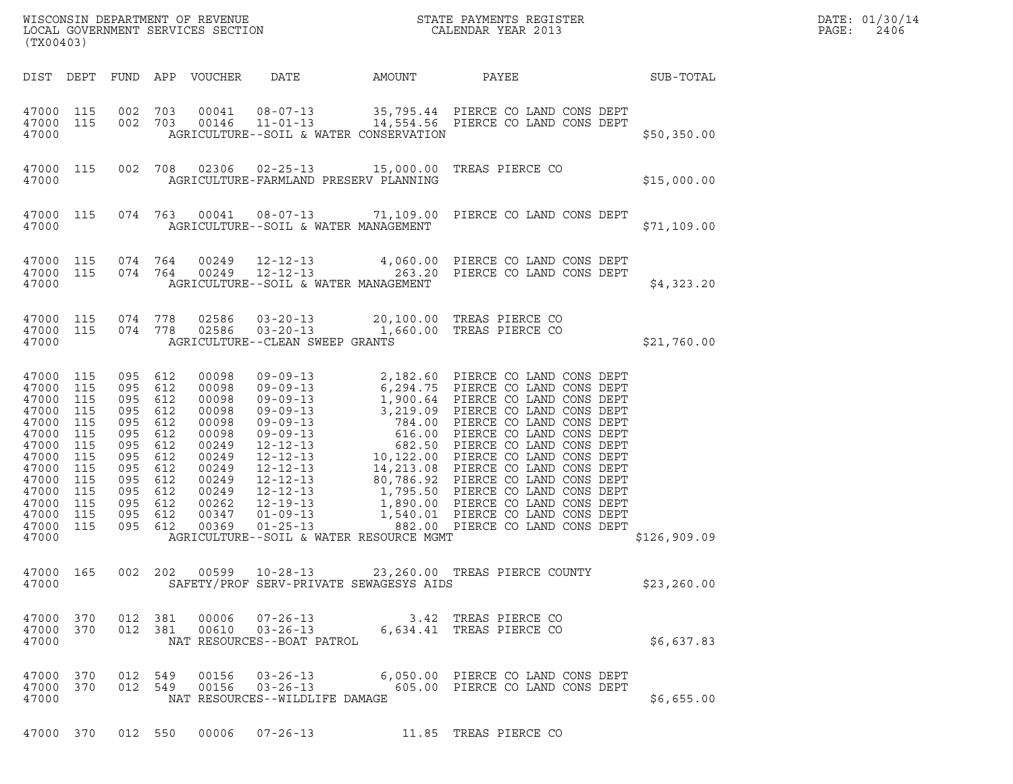| (TX00403)                                                                                                                               |                                                                                         |                                                                                                    |                                                                                         |                                                                                                                            |                                                                     |        |                                                                                            |              | DATE: 01/30/14<br>PAGE:<br>2406 |
|-----------------------------------------------------------------------------------------------------------------------------------------|-----------------------------------------------------------------------------------------|----------------------------------------------------------------------------------------------------|-----------------------------------------------------------------------------------------|----------------------------------------------------------------------------------------------------------------------------|---------------------------------------------------------------------|--------|--------------------------------------------------------------------------------------------|--------------|---------------------------------|
|                                                                                                                                         |                                                                                         |                                                                                                    |                                                                                         | DIST DEPT FUND APP VOUCHER                                                                                                 | DATE                                                                | AMOUNT | PAYEE                                                                                      | SUB-TOTAL    |                                 |
| 47000 115<br>47000 115<br>47000                                                                                                         |                                                                                         | 002 703<br>002 703                                                                                 |                                                                                         | 00041<br>00146                                                                                                             | AGRICULTURE--SOIL & WATER CONSERVATION                              |        | 08-07-13 35,795.44 PIERCE CO LAND CONS DEPT<br>11-01-13 14,554.56 PIERCE CO LAND CONS DEPT | \$50,350.00  |                                 |
| 47000 115<br>47000                                                                                                                      |                                                                                         |                                                                                                    | 002 708                                                                                 |                                                                                                                            | AGRICULTURE-FARMLAND PRESERV PLANNING                               |        | 02306  02-25-13  15,000.00  TREAS PIERCE CO                                                | \$15,000.00  |                                 |
| 47000 115<br>47000                                                                                                                      |                                                                                         |                                                                                                    |                                                                                         |                                                                                                                            | AGRICULTURE--SOIL & WATER MANAGEMENT                                |        | 074 763 00041 08-07-13 71,109.00 PIERCE CO LAND CONS DEPT                                  | \$71,109.00  |                                 |
| 47000 115<br>47000 115<br>47000                                                                                                         |                                                                                         | 074 764<br>074 764                                                                                 |                                                                                         | 00249<br>00249                                                                                                             | $12 - 12 - 13$<br>AGRICULTURE--SOIL & WATER MANAGEMENT              |        | 12-12-13 4,060.00 PIERCE CO LAND CONS DEPT<br>263.20 PIERCE CO LAND CONS DEPT              | \$4,323.20   |                                 |
| 47000 115<br>47000 115<br>47000                                                                                                         |                                                                                         | 074 778<br>074 778                                                                                 |                                                                                         | 02586<br>02586                                                                                                             | $03 - 20 - 13$<br>$03 - 20 - 13$<br>AGRICULTURE--CLEAN SWEEP GRANTS |        | 20,100.00 TREAS PIERCE CO<br>1,660.00 TREAS PIERCE CO                                      | \$21,760.00  |                                 |
| 47000 115<br>47000<br>47000<br>47000<br>47000<br>47000<br>47000<br>47000<br>47000<br>47000<br>47000<br>47000<br>47000<br>47000<br>47000 | 115<br>115<br>115<br>115<br>115<br>115<br>115<br>115<br>115<br>115<br>115<br>115<br>115 | 095<br>095<br>095<br>095<br>095<br>095<br>095<br>095<br>095<br>095<br>095<br>095<br>095<br>095 612 | 612<br>612<br>612<br>612<br>612<br>612<br>612<br>612<br>612<br>612<br>612<br>612<br>612 | 00098<br>00098<br>00098<br>00098<br>00098<br>00098<br>00249<br>00249<br>00249<br>00249<br>00249<br>00262<br>00347<br>00369 | AGRICULTURE--SOIL & WATER RESOURCE MGMT                             |        |                                                                                            | \$126,909.09 |                                 |
| 47000 165<br>47000                                                                                                                      |                                                                                         |                                                                                                    |                                                                                         |                                                                                                                            | SAFETY/PROF SERV-PRIVATE SEWAGESYS AIDS                             |        | 002  202  00599  10-28-13  23,260.00 TREAS PIERCE COUNTY                                   | \$23, 260.00 |                                 |
| 47000 370<br>47000 370<br>47000                                                                                                         |                                                                                         | 012 381                                                                                            | 012 381                                                                                 | 00006<br>00610                                                                                                             | $07 - 26 - 13$<br>NAT RESOURCES--BOAT PATROL                        |        | 3.42 TREAS PIERCE CO<br>03-26-13 6,634.41 TREAS PIERCE CO                                  | \$6,637.83   |                                 |
| 47000 370<br>47000 370<br>47000                                                                                                         |                                                                                         | 012 549                                                                                            | 012 549                                                                                 |                                                                                                                            | $00156$ $03-26-13$<br>NAT RESOURCES--WILDLIFE DAMAGE                |        | 00156  03-26-13  6,050.00  PIERCE CO LAND CONS DEPT<br>605.00 PIERCE CO LAND CONS DEPT     | \$6,655.00   |                                 |
| 47000 370                                                                                                                               |                                                                                         |                                                                                                    | 012 550                                                                                 |                                                                                                                            |                                                                     |        | 00006  07-26-13  11.85  TREAS PIERCE CO                                                    |              |                                 |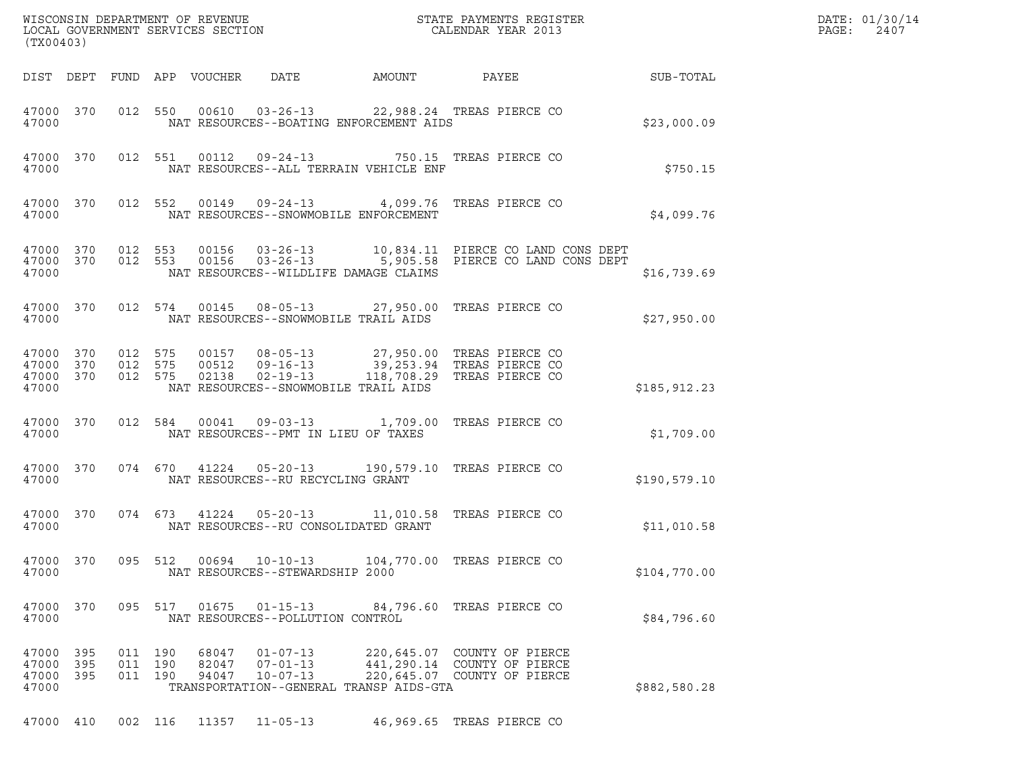|       | (TX00403)                           |                               |                            |                                                    |                                         |                                                                                                                                                           |               | DATE: 01/30/14<br>$\mathtt{PAGE:}$<br>2407 |
|-------|-------------------------------------|-------------------------------|----------------------------|----------------------------------------------------|-----------------------------------------|-----------------------------------------------------------------------------------------------------------------------------------------------------------|---------------|--------------------------------------------|
|       |                                     |                               | DIST DEPT FUND APP VOUCHER | DATE                                               | <b>AMOUNT</b>                           | PAYEE                                                                                                                                                     | SUB-TOTAL     |                                            |
| 47000 | 47000 370                           |                               |                            |                                                    | NAT RESOURCES--BOATING ENFORCEMENT AIDS | 012 550 00610 03-26-13 22,988.24 TREAS PIERCE CO                                                                                                          | \$23,000.09   |                                            |
| 47000 | 47000 370                           |                               |                            |                                                    | NAT RESOURCES--ALL TERRAIN VEHICLE ENF  | 012 551 00112 09-24-13 750.15 TREAS PIERCE CO                                                                                                             | \$750.15      |                                            |
| 47000 | 47000 370                           |                               |                            |                                                    | NAT RESOURCES--SNOWMOBILE ENFORCEMENT   | 012 552 00149 09-24-13 4,099.76 TREAS PIERCE CO                                                                                                           | \$4,099.76    |                                            |
| 47000 | 47000 370<br>47000 370              |                               |                            |                                                    | NAT RESOURCES--WILDLIFE DAMAGE CLAIMS   | 012 553 00156 03-26-13 10,834.11 PIERCE CO LAND CONS DEPT<br>012 553 00156 03-26-13 5,905.58 PIERCE CO LAND CONS DEPT                                     | \$16,739.69   |                                            |
| 47000 | 47000 370                           |                               |                            |                                                    | NAT RESOURCES--SNOWMOBILE TRAIL AIDS    | 012 574 00145 08-05-13 27,950.00 TREAS PIERCE CO                                                                                                          | \$27,950.00   |                                            |
| 47000 | 47000 370<br>47000 370<br>47000 370 |                               |                            | NAT RESOURCES--SNOWMOBILE TRAIL AIDS               |                                         | 012 575 00157 08-05-13 27,950.00 TREAS PIERCE CO<br>012 575 00512 09-16-13 39,253.94 TREAS PIERCE CO<br>012 575 02138 02-19-13 118,708.29 TREAS PIERCE CO | \$185, 912.23 |                                            |
| 47000 | 47000 370                           |                               | 012 584 00041              | NAT RESOURCES--PMT IN LIEU OF TAXES                |                                         | 09-03-13 1,709.00 TREAS PIERCE CO                                                                                                                         | \$1,709.00    |                                            |
| 47000 | 47000 370                           |                               |                            | NAT RESOURCES--RU RECYCLING GRANT                  |                                         | 074 670 41224 05-20-13 190,579.10 TREAS PIERCE CO                                                                                                         | \$190,579.10  |                                            |
| 47000 | 47000 370                           |                               |                            | NAT RESOURCES--RU CONSOLIDATED GRANT               |                                         | 074 673 41224 05-20-13 11,010.58 TREAS PIERCE CO                                                                                                          | \$11,010.58   |                                            |
| 47000 | 47000 370                           | 095 512                       |                            | NAT RESOURCES--STEWARDSHIP 2000                    |                                         | 00694  10-10-13  104,770.00 TREAS PIERCE CO                                                                                                               | \$104,770.00  |                                            |
| 47000 | 47000 370                           |                               | 095 517 01675 01-15-13     | NAT RESOURCES--POLLUTION CONTROL                   |                                         | 84,796.60 TREAS PIERCE CO                                                                                                                                 | \$84,796.60   |                                            |
| 47000 | 47000 395<br>47000 395<br>47000 395 | 011 190<br>011 190<br>011 190 | 68047<br>82047<br>94047    | $01 - 07 - 13$<br>$07 - 01 - 13$<br>$10 - 07 - 13$ | TRANSPORTATION--GENERAL TRANSP AIDS-GTA | 220,645.07 COUNTY OF PIERCE<br>441,290.14 COUNTY OF PIERCE<br>220,645.07 COUNTY OF PIERCE                                                                 | \$882,580.28  |                                            |
|       | 47000 410                           |                               | 002 116 11357 11-05-13     |                                                    |                                         | 46,969.65 TREAS PIERCE CO                                                                                                                                 |               |                                            |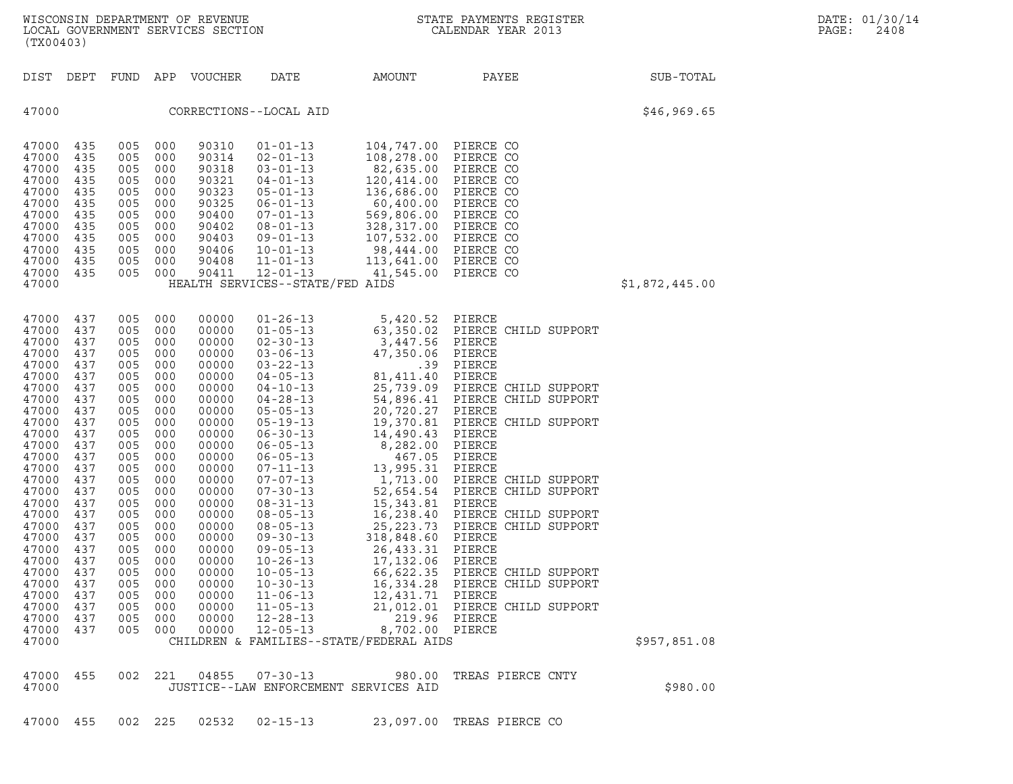| (TX00403)                                                                                                                                                                                                                                                         |                                                                                                                                                                                                  |                                                                                                                                                                                                  |                                                                                                                                                                                                  | WISCONSIN DEPARTMENT OF REVENUE<br>LOCAL GOVERNMENT SERVICES SECTION                                                                                                                                                                                     | $\mathbf{N}$                                                                                                                                                                                                                                                                                                                                                                                                                                                                                                   |                                                                                                                                                                                                                                                                                                                                                                                                                          | STATE PAYMENTS REGISTER<br>CALENDAR YEAR 2013                                                                                                                                                                                                                                                                                                                                                                    |                | DATE: 01/30/14<br>PAGE:<br>2408 |
|-------------------------------------------------------------------------------------------------------------------------------------------------------------------------------------------------------------------------------------------------------------------|--------------------------------------------------------------------------------------------------------------------------------------------------------------------------------------------------|--------------------------------------------------------------------------------------------------------------------------------------------------------------------------------------------------|--------------------------------------------------------------------------------------------------------------------------------------------------------------------------------------------------|----------------------------------------------------------------------------------------------------------------------------------------------------------------------------------------------------------------------------------------------------------|----------------------------------------------------------------------------------------------------------------------------------------------------------------------------------------------------------------------------------------------------------------------------------------------------------------------------------------------------------------------------------------------------------------------------------------------------------------------------------------------------------------|--------------------------------------------------------------------------------------------------------------------------------------------------------------------------------------------------------------------------------------------------------------------------------------------------------------------------------------------------------------------------------------------------------------------------|------------------------------------------------------------------------------------------------------------------------------------------------------------------------------------------------------------------------------------------------------------------------------------------------------------------------------------------------------------------------------------------------------------------|----------------|---------------------------------|
| DIST DEPT                                                                                                                                                                                                                                                         |                                                                                                                                                                                                  | FUND                                                                                                                                                                                             |                                                                                                                                                                                                  | APP VOUCHER                                                                                                                                                                                                                                              | DATE                                                                                                                                                                                                                                                                                                                                                                                                                                                                                                           | AMOUNT                                                                                                                                                                                                                                                                                                                                                                                                                   | PAYEE                                                                                                                                                                                                                                                                                                                                                                                                            | SUB-TOTAL      |                                 |
| 47000                                                                                                                                                                                                                                                             |                                                                                                                                                                                                  |                                                                                                                                                                                                  |                                                                                                                                                                                                  |                                                                                                                                                                                                                                                          | CORRECTIONS--LOCAL AID                                                                                                                                                                                                                                                                                                                                                                                                                                                                                         |                                                                                                                                                                                                                                                                                                                                                                                                                          |                                                                                                                                                                                                                                                                                                                                                                                                                  | \$46,969.65    |                                 |
| 47000<br>47000<br>47000<br>47000<br>47000<br>47000<br>47000<br>47000<br>47000<br>47000<br>47000<br>47000<br>47000                                                                                                                                                 | 435<br>435<br>435<br>435<br>435<br>435<br>435<br>435<br>435<br>435<br>435<br>435                                                                                                                 | 005<br>005<br>005<br>005<br>005<br>005<br>005<br>005<br>005<br>005<br>005<br>005                                                                                                                 | 000<br>000<br>000<br>000<br>000<br>000<br>000<br>000<br>000<br>000<br>000<br>000                                                                                                                 | 90310<br>90314<br>90318<br>90321<br>90323<br>90325<br>90400<br>90402<br>90403<br>90406<br>90408<br>90411                                                                                                                                                 | $01 - 01 - 13$<br>$02 - 01 - 13$<br>$03 - 01 - 13$<br>04-01-13<br>$05 - 01 - 13$<br>$06 - 01 - 13$<br>$07 - 01 - 13$<br>$08 - 01 - 13$<br>$09 - 01 - 13$<br>$10 - 01 - 13$<br>$11 - 01 - 13$<br>$12 - 01 - 13$<br>HEALTH SERVICES--STATE/FED AIDS                                                                                                                                                                                                                                                              | 104,747.00 PIERCE CO<br>108,278.00<br>82,635.00<br>120,414.00<br>136,686.00<br>60,400.00<br>569,806.00<br>328,317.00<br>107,532.00<br>98,444.00<br>113,641.00<br>41,545.00                                                                                                                                                                                                                                               | PIERCE CO<br>PIERCE CO<br>PIERCE CO<br>PIERCE CO<br>PIERCE CO<br>PIERCE CO<br>PIERCE CO<br>PIERCE CO<br>PIERCE CO<br>PIERCE CO<br>PIERCE CO                                                                                                                                                                                                                                                                      | \$1,872,445.00 |                                 |
| 47000<br>47000<br>47000<br>47000<br>47000<br>47000<br>47000<br>47000<br>47000<br>47000<br>47000<br>47000<br>47000<br>47000<br>47000<br>47000<br>47000<br>47000<br>47000<br>47000<br>47000<br>47000<br>47000<br>47000<br>47000<br>47000<br>47000<br>47000<br>47000 | 437<br>437<br>437<br>437<br>437<br>437<br>437<br>437<br>437<br>437<br>437<br>437<br>437<br>437<br>437<br>437<br>437<br>437<br>437<br>437<br>437<br>437<br>437<br>437<br>437<br>437<br>437<br>437 | 005<br>005<br>005<br>005<br>005<br>005<br>005<br>005<br>005<br>005<br>005<br>005<br>005<br>005<br>005<br>005<br>005<br>005<br>005<br>005<br>005<br>005<br>005<br>005<br>005<br>005<br>005<br>005 | 000<br>000<br>000<br>000<br>000<br>000<br>000<br>000<br>000<br>000<br>000<br>000<br>000<br>000<br>000<br>000<br>000<br>000<br>000<br>000<br>000<br>000<br>000<br>000<br>000<br>000<br>000<br>000 | 00000<br>00000<br>00000<br>00000<br>00000<br>00000<br>00000<br>00000<br>00000<br>00000<br>00000<br>00000<br>00000<br>00000<br>00000<br>00000<br>00000<br>00000<br>00000<br>00000<br>00000<br>00000<br>00000<br>00000<br>00000<br>00000<br>00000<br>00000 | $01 - 26 - 13$<br>$01 - 05 - 13$<br>$02 - 30 - 13$<br>$03 - 06 - 13$<br>$03 - 22 - 13$<br>$04 - 05 - 13$<br>04-10-13<br>$04 - 28 - 13$<br>$05 - 05 - 13$<br>$05 - 19 - 13$<br>$06 - 30 - 13$<br>$06 - 05 - 13$<br>$06 - 05 - 13$<br>$07 - 11 - 13$<br>$07 - 07 - 13$<br>$07 - 30 - 13$<br>$08 - 31 - 13$<br>$08 - 05 - 13$<br>$08 - 05 - 13$<br>$09 - 30 - 13$<br>$09 - 05 - 13$<br>$10 - 26 - 13$<br>$10 - 05 - 13$<br>$10 - 30 - 13$<br>$11 - 06 - 13$<br>$11 - 05 - 13$<br>$12 - 28 - 13$<br>$12 - 05 - 13$ | 5,420.52 PIERCE<br>63,350.02<br>3,447.56<br>47,350.06<br>.39<br>81,411.40<br>25,739.09<br>54,896.41<br>20,720.27<br>19,370.81<br>14,490.43<br>8,282.00<br>467.05<br>13,995.31<br>1,713.00<br>52,654.54<br>15,343.81<br>16,238.40<br>25,223.73<br>318,848.60<br>26,433.31<br>17,132.06<br>66,622.35<br>16,334.28<br>12,431.71<br>21,012.01<br>219.96 PIERCE<br>8,702.00 PIERCE<br>CHILDREN & FAMILIES--STATE/FEDERAL AIDS | PIERCE CHILD SUPPORT<br>PIERCE<br>PIERCE<br>PIERCE<br>PIERCE<br>PIERCE CHILD SUPPORT<br>PIERCE CHILD SUPPORT<br>PIERCE<br>PIERCE CHILD SUPPORT<br>PIERCE<br>PIERCE<br>PIERCE<br>PIERCE<br>PIERCE CHILD SUPPORT<br>PIERCE CHILD SUPPORT<br>PIERCE<br>PIERCE CHILD SUPPORT<br>PIERCE CHILD SUPPORT<br>PIERCE<br>PIERCE<br>PIERCE<br>PIERCE CHILD SUPPORT<br>PIERCE CHILD SUPPORT<br>PIERCE<br>PIERCE CHILD SUPPORT | \$957,851.08   |                                 |
| 47000<br>47000                                                                                                                                                                                                                                                    | 455                                                                                                                                                                                              | 002 221                                                                                                                                                                                          |                                                                                                                                                                                                  | 04855                                                                                                                                                                                                                                                    | $07 - 30 - 13$                                                                                                                                                                                                                                                                                                                                                                                                                                                                                                 | 980.00<br>JUSTICE--LAW ENFORCEMENT SERVICES AID                                                                                                                                                                                                                                                                                                                                                                          | TREAS PIERCE CNTY                                                                                                                                                                                                                                                                                                                                                                                                | \$980.00       |                                 |

47000 455 002 225 02532 02-15-13 23,097.00 TREAS PIERCE CO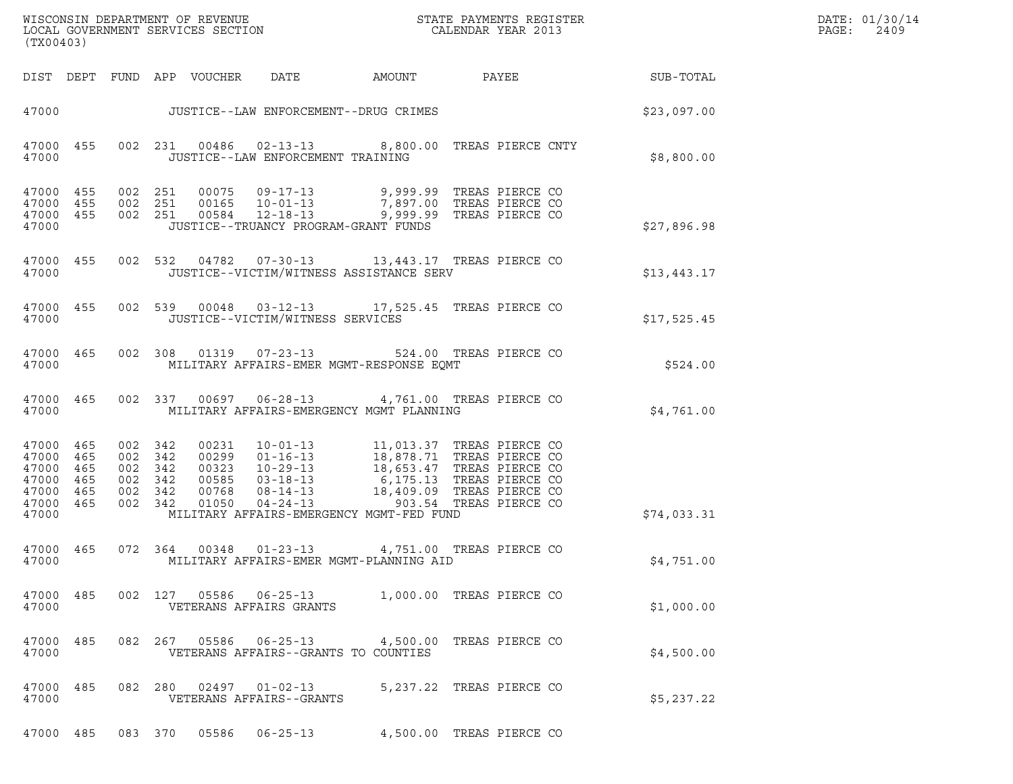| (TX00403)                                                                           |                                                     |         |                                 |                                   |                                             |                                                                                                                                                                                                                                                                                                                                   |                        | DATE: 01/30/14<br>$\mathtt{PAGE:}$<br>2409 |
|-------------------------------------------------------------------------------------|-----------------------------------------------------|---------|---------------------------------|-----------------------------------|---------------------------------------------|-----------------------------------------------------------------------------------------------------------------------------------------------------------------------------------------------------------------------------------------------------------------------------------------------------------------------------------|------------------------|--------------------------------------------|
|                                                                                     |                                                     |         | DIST DEPT FUND APP VOUCHER DATE |                                   |                                             |                                                                                                                                                                                                                                                                                                                                   | AMOUNT PAYEE SUB-TOTAL |                                            |
|                                                                                     |                                                     |         |                                 |                                   | 47000 JUSTICE--LAW ENFORCEMENT--DRUG CRIMES |                                                                                                                                                                                                                                                                                                                                   | \$23,097.00            |                                            |
| 47000                                                                               |                                                     |         |                                 | JUSTICE--LAW ENFORCEMENT TRAINING |                                             | 47000 455 002 231 00486 02-13-13 8,800.00 TREAS PIERCE CNTY                                                                                                                                                                                                                                                                       | \$8,800.00             |                                            |
| 47000 455<br>47000 455<br>47000 455<br>47000                                        |                                                     |         |                                 |                                   | JUSTICE--TRUANCY PROGRAM-GRANT FUNDS        | 002  251  00075  09-17-13  9,999.99  TREAS PIERCE CO<br>002  251  00165  10-01-13  7,897.00  TREAS PIERCE CO<br>002  251  00584  12-18-13  9,999.99  TREAS PIERCE CO                                                                                                                                                              | \$27,896.98            |                                            |
| 47000                                                                               |                                                     |         |                                 |                                   | JUSTICE--VICTIM/WITNESS ASSISTANCE SERV     | 47000 455 002 532 04782 07-30-13 13,443.17 TREAS PIERCE CO                                                                                                                                                                                                                                                                        | \$13,443.17            |                                            |
| 47000                                                                               |                                                     |         |                                 | JUSTICE--VICTIM/WITNESS SERVICES  |                                             | 47000 455 002 539 00048 03-12-13 17,525.45 TREAS PIERCE CO                                                                                                                                                                                                                                                                        | \$17,525.45            |                                            |
| 47000 465<br>47000                                                                  |                                                     |         |                                 |                                   | MILITARY AFFAIRS-EMER MGMT-RESPONSE EQMT    | 002 308 01319 07-23-13 524.00 TREAS PIERCE CO                                                                                                                                                                                                                                                                                     | \$524.00               |                                            |
| 47000                                                                               |                                                     |         |                                 |                                   | MILITARY AFFAIRS-EMERGENCY MGMT PLANNING    | 47000 465 002 337 00697 06-28-13 4,761.00 TREAS PIERCE CO                                                                                                                                                                                                                                                                         | \$4,761.00             |                                            |
| 47000 465<br>47000 465<br>47000 465<br>47000 465<br>47000 465<br>47000 465<br>47000 | 002 342<br>002 342<br>002 342<br>002 342<br>002 342 | 002 342 |                                 |                                   | MILITARY AFFAIRS-EMERGENCY MGMT-FED FUND    | $\begin{tabular}{cccc} 0.0231 & 10-01-13 & 11,013.37 \text{ TREAS PIERCE CO} \\ 0.0299 & 01-16-13 & 18,878.71 \text{ TREAS PIERCE CO} \\ 0.0323 & 10-29-13 & 18,653.47 \text{ TREAS PIERCE CO} \\ 0.0585 & 03-18-13 & 6,175.13 \text{ TREAS PIERCE CO} \\ 0.0768 & 08-14-13 & 18,409.09 \text{ TREAS PIERCE CO} \\ 0.1050 & 0.4-$ | \$74,033.31            |                                            |
| 47000                                                                               |                                                     |         |                                 |                                   | MILITARY AFFAIRS-EMER MGMT-PLANNING AID     | 47000 465 072 364 00348 01-23-13 4,751.00 TREAS PIERCE CO                                                                                                                                                                                                                                                                         | \$4,751.00             |                                            |
| 47000 485<br>47000                                                                  |                                                     |         |                                 | VETERANS AFFAIRS GRANTS           |                                             | 002 127 05586 06-25-13 1,000.00 TREAS PIERCE CO                                                                                                                                                                                                                                                                                   | \$1,000.00             |                                            |
| 47000 485<br>47000                                                                  |                                                     |         |                                 |                                   | VETERANS AFFAIRS--GRANTS TO COUNTIES        | 082  267  05586  06-25-13  4,500.00 TREAS PIERCE CO                                                                                                                                                                                                                                                                               | \$4,500.00             |                                            |
| 47000 485<br>47000                                                                  |                                                     | 082 280 |                                 | VETERANS AFFAIRS--GRANTS          |                                             | 02497   01-02-13   5,237.22   TREAS PIERCE CO                                                                                                                                                                                                                                                                                     | \$5,237.22             |                                            |
|                                                                                     |                                                     |         |                                 | 47000 485 083 370 05586 06-25-13  |                                             | 4,500.00 TREAS PIERCE CO                                                                                                                                                                                                                                                                                                          |                        |                                            |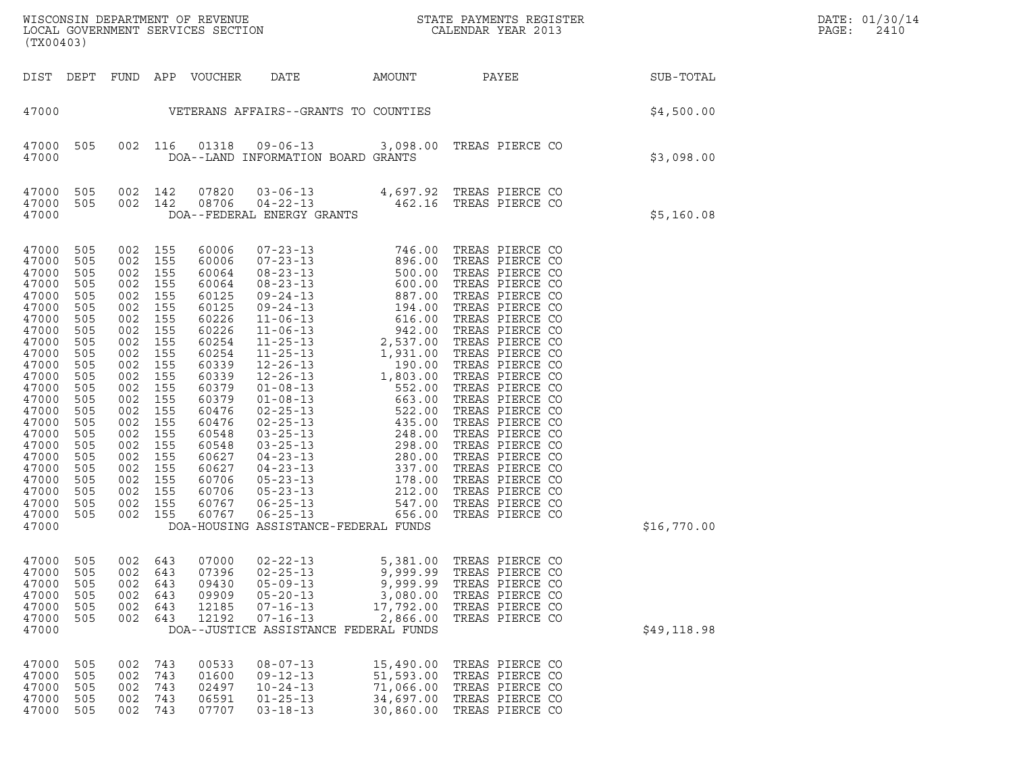| (TX00403)                                                                                                                                                                                                                     |                                                                                                                                                                      |                                                                                                                                                                          |                                                                                                                                                               |                                                                                                                                                                                                                      |                                                                                                                                                   |                                                                       |                                                                                                                |             | DATE: 01/30/14<br>PAGE:<br>2410 |
|-------------------------------------------------------------------------------------------------------------------------------------------------------------------------------------------------------------------------------|----------------------------------------------------------------------------------------------------------------------------------------------------------------------|--------------------------------------------------------------------------------------------------------------------------------------------------------------------------|---------------------------------------------------------------------------------------------------------------------------------------------------------------|----------------------------------------------------------------------------------------------------------------------------------------------------------------------------------------------------------------------|---------------------------------------------------------------------------------------------------------------------------------------------------|-----------------------------------------------------------------------|----------------------------------------------------------------------------------------------------------------|-------------|---------------------------------|
|                                                                                                                                                                                                                               |                                                                                                                                                                      |                                                                                                                                                                          |                                                                                                                                                               | DIST DEPT FUND APP VOUCHER                                                                                                                                                                                           | DATE                                                                                                                                              | AMOUNT                                                                | PAYEE SUB-TOTAL                                                                                                |             |                                 |
| 47000                                                                                                                                                                                                                         |                                                                                                                                                                      |                                                                                                                                                                          |                                                                                                                                                               |                                                                                                                                                                                                                      | VETERANS AFFAIRS--GRANTS TO COUNTIES                                                                                                              |                                                                       |                                                                                                                | \$4,500.00  |                                 |
| 47000<br>47000                                                                                                                                                                                                                | 505                                                                                                                                                                  | 002 116                                                                                                                                                                  |                                                                                                                                                               | 01318                                                                                                                                                                                                                | 09-06-13 3,098.00 TREAS PIERCE CO<br>DOA--LAND INFORMATION BOARD GRANTS                                                                           |                                                                       |                                                                                                                | \$3,098.00  |                                 |
| 47000<br>47000<br>47000                                                                                                                                                                                                       | 505<br>505                                                                                                                                                           | 002 142<br>002 142                                                                                                                                                       |                                                                                                                                                               | 07820<br>08706                                                                                                                                                                                                       | DOA--FEDERAL ENERGY GRANTS                                                                                                                        |                                                                       | $03-06-13$<br>04-22-13<br>04-22-13<br>8AL ENERGY GRANTS                                                        | \$5,160.08  |                                 |
| 47000<br>47000<br>47000<br>47000<br>47000<br>47000<br>47000<br>47000<br>47000<br>47000<br>47000<br>47000<br>47000<br>47000<br>47000<br>47000<br>47000<br>47000<br>47000<br>47000<br>47000<br>47000<br>47000<br>47000<br>47000 | 505<br>505<br>505<br>505<br>505<br>505<br>505<br>505<br>505<br>505<br>505<br>505<br>505<br>505<br>505<br>505<br>505<br>505<br>505<br>505<br>505<br>505<br>505<br>505 | 002<br>002<br>002<br>002<br>002<br>002<br>002<br>002<br>002<br>002<br>002<br>002<br>002<br>002<br>002<br>002<br>002<br>002<br>002<br>002<br>002<br>002<br>002<br>002 155 | 155<br>155<br>155<br>155<br>155<br>155<br>155<br>155<br>155<br>155<br>155<br>155<br>155<br>155<br>155<br>155<br>155<br>155<br>155<br>155<br>155<br>155<br>155 | 60006<br>60006<br>60064<br>60064<br>60125<br>60125<br>60226<br>60226<br>60254<br>60254<br>60339<br>60339<br>60379<br>60379<br>60476<br>60476<br>60548<br>60548<br>60627<br>60627<br>60706<br>60706<br>60767<br>60767 | DOA-HOUSING ASSISTANCE-FEDERAL FUNDS                                                                                                              |                                                                       |                                                                                                                | \$16,770.00 |                                 |
| 47000<br>47000<br>47000<br>47000<br>47000<br>47000<br>47000                                                                                                                                                                   | 505<br>505<br>505<br>505<br>505<br>505                                                                                                                               | 002<br>002<br>002<br>002<br>002<br>002                                                                                                                                   | 643<br>643<br>643<br>643<br>643<br>643                                                                                                                        | 07000<br>07396<br>09430<br>09909<br>12185<br>12192                                                                                                                                                                   | $02 - 22 - 13$<br>$02 - 25 - 13$<br>$05 - 09 - 13$<br>$05 - 20 - 13$<br>$07 - 16 - 13$<br>$07 - 16 - 13$<br>DOA--JUSTICE ASSISTANCE FEDERAL FUNDS | 5,381.00<br>9,999.99<br>9,999.99<br>3,080.00<br>17,792.00<br>2,866.00 | TREAS PIERCE CO<br>TREAS PIERCE CO<br>TREAS PIERCE CO<br>TREAS PIERCE CO<br>TREAS PIERCE CO<br>TREAS PIERCE CO | \$49,118.98 |                                 |
| 47000<br>47000<br>47000<br>47000<br>47000                                                                                                                                                                                     | 505<br>505<br>505<br>505<br>505                                                                                                                                      | 002<br>002<br>002<br>002<br>002                                                                                                                                          | 743<br>743<br>743<br>743<br>743                                                                                                                               | 00533<br>01600<br>02497<br>06591<br>07707                                                                                                                                                                            | $08 - 07 - 13$<br>$09 - 12 - 13$<br>$10 - 24 - 13$<br>$01 - 25 - 13$<br>$03 - 18 - 13$                                                            | 15,490.00<br>51,593.00<br>71,066.00<br>34,697.00<br>30,860.00         | TREAS PIERCE CO<br>TREAS PIERCE CO<br>TREAS PIERCE CO<br>TREAS PIERCE CO<br>TREAS PIERCE CO                    |             |                                 |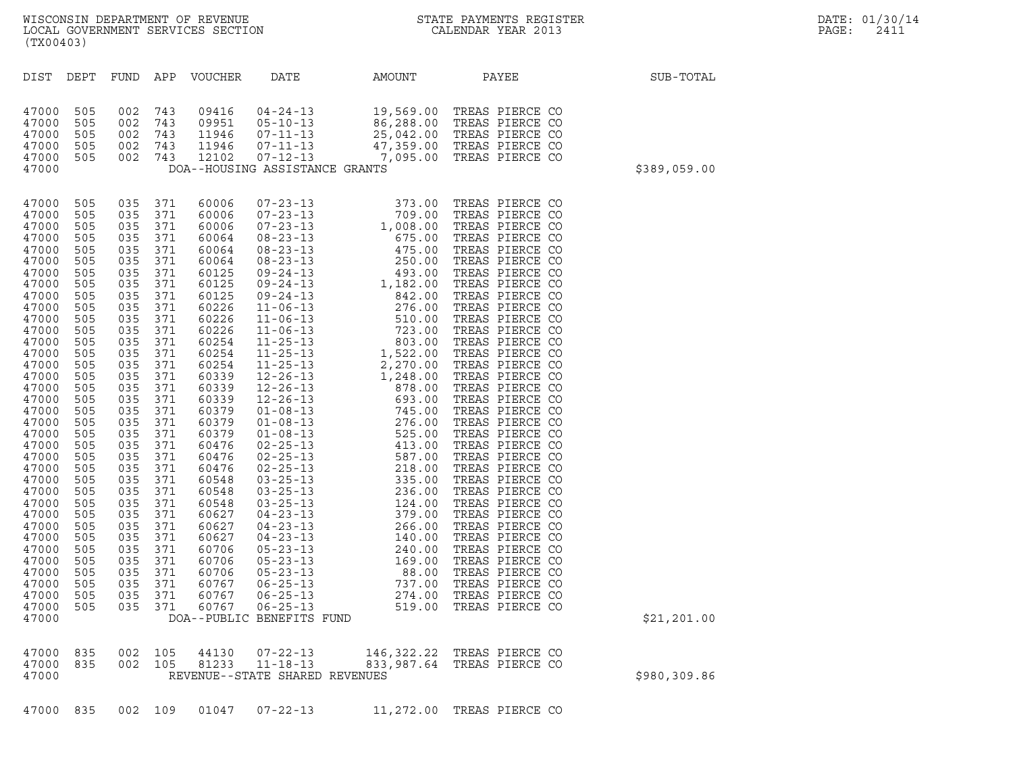| (TX00403)                                                                                                                                                                                                                                                                                                                                 |                                                                                                                                                                                                                                                          |                                                                                                                                                                                                                                                              |                                                                                                                                                                                                                                                   |                                                                                                                                                                                                                                                                                                                                  |                                                                                                   |                                     | WISCONSIN DEPARTMENT OF REVENUE<br>LOCAL GOVERNMENT SERVICES SECTION THE STATE PAYMENTS REGISTER<br>(TYA04403)                                                                   |               | DATE: 01/30/14<br>PAGE:<br>2411 |
|-------------------------------------------------------------------------------------------------------------------------------------------------------------------------------------------------------------------------------------------------------------------------------------------------------------------------------------------|----------------------------------------------------------------------------------------------------------------------------------------------------------------------------------------------------------------------------------------------------------|--------------------------------------------------------------------------------------------------------------------------------------------------------------------------------------------------------------------------------------------------------------|---------------------------------------------------------------------------------------------------------------------------------------------------------------------------------------------------------------------------------------------------|----------------------------------------------------------------------------------------------------------------------------------------------------------------------------------------------------------------------------------------------------------------------------------------------------------------------------------|---------------------------------------------------------------------------------------------------|-------------------------------------|----------------------------------------------------------------------------------------------------------------------------------------------------------------------------------|---------------|---------------------------------|
| DIST DEPT                                                                                                                                                                                                                                                                                                                                 |                                                                                                                                                                                                                                                          |                                                                                                                                                                                                                                                              |                                                                                                                                                                                                                                                   | FUND APP VOUCHER                                                                                                                                                                                                                                                                                                                 | DATE                                                                                              | AMOUNT PAYEE                        |                                                                                                                                                                                  | SUB-TOTAL     |                                 |
| 47000<br>47000<br>47000<br>47000<br>47000<br>47000                                                                                                                                                                                                                                                                                        | 505<br>505<br>505<br>505<br>505                                                                                                                                                                                                                          | 002<br>002 743<br>002 743<br>002 743<br>002 743                                                                                                                                                                                                              | 743                                                                                                                                                                                                                                               | 09416<br>09951<br>11946<br>11946<br>12102                                                                                                                                                                                                                                                                                        | DOA--HOUSING ASSISTANCE GRANTS                                                                    |                                     | 04-24-13<br>05-10-13<br>07-11-13<br>07-11-13<br>07-11-13<br>07-12-13<br>07-12-13<br>07-12-13<br>07-12-13<br>07-12-13<br>07-12-13<br>07-12-13<br>07-12-13<br>07-12-13<br>07-12-13 | \$389,059.00  |                                 |
| 47000<br>47000<br>47000<br>47000<br>47000<br>47000<br>47000<br>47000<br>47000<br>47000<br>47000<br>47000<br>47000<br>47000<br>47000<br>47000<br>47000<br>47000<br>47000<br>47000<br>47000<br>47000<br>47000<br>47000<br>47000<br>47000<br>47000<br>47000<br>47000<br>47000<br>47000<br>47000<br>47000<br>47000<br>47000<br>47000<br>47000 | 505<br>505<br>505<br>505<br>505<br>505<br>505<br>505<br>505<br>505<br>505<br>505<br>505<br>505<br>505<br>505<br>505<br>505<br>505<br>505<br>505<br>505<br>505<br>505<br>505<br>505<br>505<br>505<br>505<br>505<br>505<br>505<br>505<br>505<br>505<br>505 | 035 371<br>035<br>035<br>035<br>035<br>035<br>035<br>035<br>035<br>035<br>035<br>035<br>035<br>035<br>035<br>035<br>035<br>035<br>035<br>035<br>035<br>035<br>035<br>035<br>035<br>035<br>035<br>035<br>035<br>035<br>035<br>035<br>035<br>035<br>035<br>035 | 371<br>371<br>371<br>371<br>371<br>371<br>371<br>371<br>371<br>371<br>371<br>371<br>371<br>371<br>371<br>371<br>371<br>371<br>371<br>371<br>371<br>371<br>371<br>371<br>371<br>371<br>371<br>371<br>371<br>371<br>371<br>371<br>371<br>371<br>371 | 60006<br>60006<br>60006<br>60064<br>60064<br>60064<br>60125<br>60125<br>60125<br>60226<br>60226<br>60226<br>60254<br>60254<br>60254<br>60339<br>60339<br>60339<br>60379<br>60379<br>60379<br>60476<br>60476<br>60476<br>60548<br>60548<br>60548<br>60627<br>60627<br>60627<br>60706<br>60706<br>60706<br>60767<br>60767<br>60767 | $05 - 23 - 13$<br>$06 - 25 - 13$<br>$06 - 25 - 13$<br>$06 - 25 - 13$<br>DOA--PUBLIC BENEFITS FUND | 88.00<br>737.00<br>274.00<br>519.00 | TREAS PIERCE CO<br>TREAS PIERCE CO<br>TREAS PIERCE CO<br>TREAS PIERCE CO                                                                                                         | \$21, 201.00  |                                 |
| 47000<br>47000<br>47000                                                                                                                                                                                                                                                                                                                   | 835<br>835                                                                                                                                                                                                                                               | 002<br>002 105                                                                                                                                                                                                                                               | 105                                                                                                                                                                                                                                               | 44130<br>81233                                                                                                                                                                                                                                                                                                                   | $07 - 22 - 13$<br>$11 - 18 - 13$<br>REVENUE--STATE SHARED REVENUES                                | 146,322.22<br>833,987.64            | TREAS PIERCE CO<br>TREAS PIERCE CO                                                                                                                                               | \$980, 309.86 |                                 |

47000 835 002 109 01047 07-22-13 11,272.00 TREAS PIERCE CO

WISCONSIN DEPARTMENT OF REVENUE<br>LOCAL GOVERNMENT SERVICES SECTION STATE PAYMENTS REGISTER SECONDER STATE PASS: 2411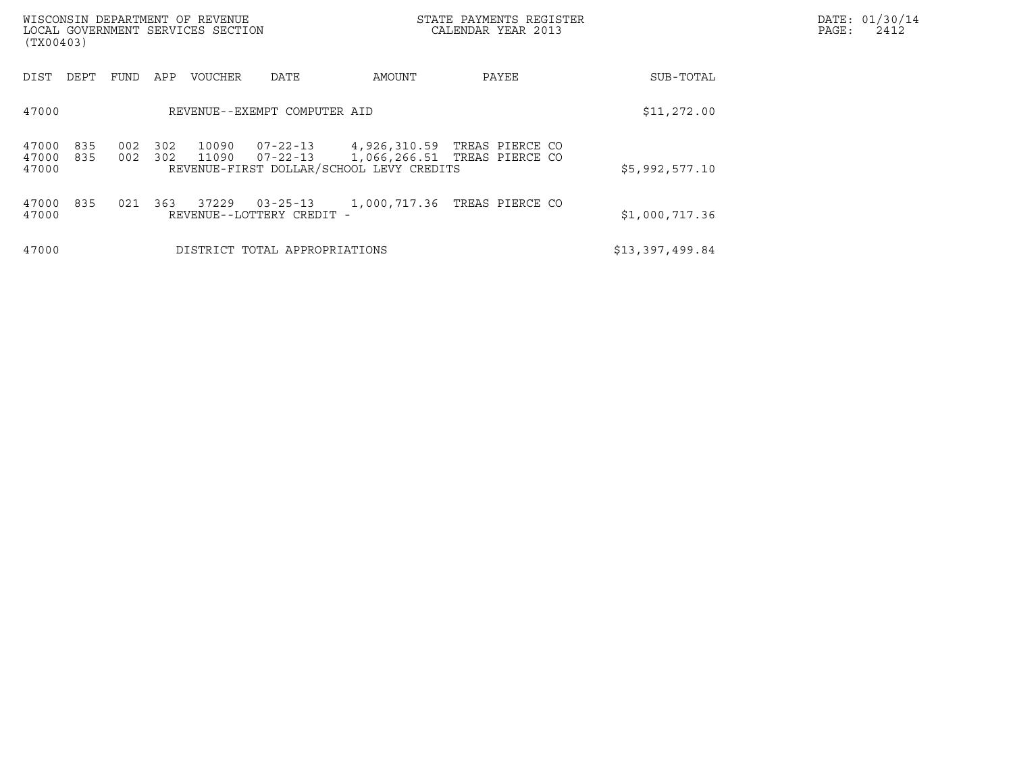| WISCONSIN DEPARTMENT OF REVENUE<br>LOCAL GOVERNMENT SERVICES SECTION<br>(TX00403) |            |            |                |                                             | STATE PAYMENTS REGISTER<br>CALENDAR YEAR 2013 |                                                                       | DATE: 01/30/14<br>PAGE:<br>2412 |  |
|-----------------------------------------------------------------------------------|------------|------------|----------------|---------------------------------------------|-----------------------------------------------|-----------------------------------------------------------------------|---------------------------------|--|
| DIST<br>DEPT                                                                      | FUND       | APP        | <b>VOUCHER</b> | DATE                                        | AMOUNT                                        | PAYEE                                                                 | SUB-TOTAL                       |  |
| 47000                                                                             |            |            |                | REVENUE--EXEMPT COMPUTER AID                |                                               | \$11,272.00                                                           |                                 |  |
| 835<br>47000<br>47000<br>835<br>47000                                             | 002<br>002 | 302<br>302 | 10090<br>11090 | 07-22-13                                    | REVENUE-FIRST DOLLAR/SCHOOL LEVY CREDITS      | 07-22-13 4,926,310.59 TREAS PIERCE CO<br>1,066,266.51 TREAS PIERCE CO | \$5,992,577.10                  |  |
| 47000<br>835<br>47000                                                             | 021        | 363        | 37229          | $03 - 25 - 13$<br>REVENUE--LOTTERY CREDIT - |                                               | 1,000,717.36 TREAS PIERCE CO                                          | \$1,000,717.36                  |  |
| 47000                                                                             |            |            |                | DISTRICT TOTAL APPROPRIATIONS               |                                               |                                                                       | \$13,397,499.84                 |  |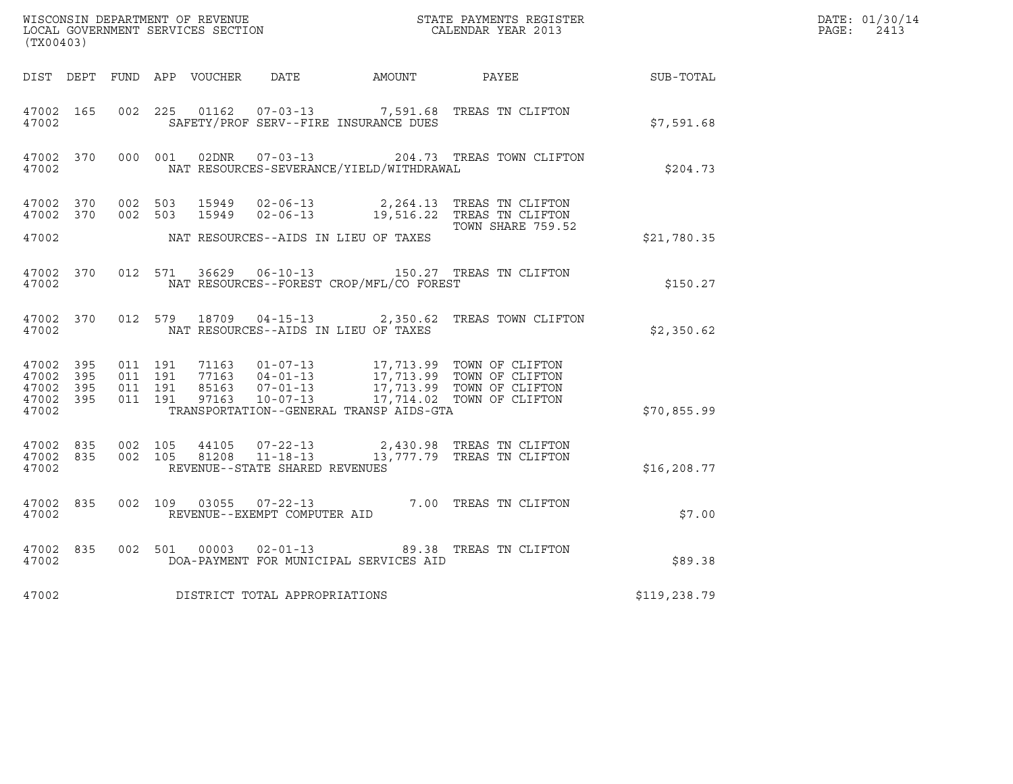| (TX00403)                                                 |           |                                          |  |                                |                                              | WISCONSIN DEPARTMENT OF REVENUE<br>LOCAL GOVERNMENT SERVICES SECTION CALENDAR YEAR 2013                                                                                                  |                  | DATE: 01/30/14<br>$\mathtt{PAGE}$ :<br>2413 |
|-----------------------------------------------------------|-----------|------------------------------------------|--|--------------------------------|----------------------------------------------|------------------------------------------------------------------------------------------------------------------------------------------------------------------------------------------|------------------|---------------------------------------------|
|                                                           |           |                                          |  |                                | DIST DEPT FUND APP VOUCHER DATE AMOUNT PAYEE |                                                                                                                                                                                          | <b>SUB-TOTAL</b> |                                             |
| 47002 165<br>47002                                        |           | 002 225                                  |  |                                | SAFETY/PROF SERV--FIRE INSURANCE DUES        | 01162  07-03-13  7,591.68  TREAS TN CLIFTON                                                                                                                                              | \$7,591.68       |                                             |
| 47002                                                     |           |                                          |  |                                | NAT RESOURCES-SEVERANCE/YIELD/WITHDRAWAL     | 47002 370 000 001 02DNR 07-03-13 204.73 TREAS TOWN CLIFTON                                                                                                                               | \$204.73         |                                             |
|                                                           |           |                                          |  |                                |                                              | 47002 370 002 503 15949 02-06-13 2,264.13 TREAS TN CLIFTON<br>47002 370 002 503 15949 02-06-13 19,516.22 TREAS TN CLIFTON                                                                |                  |                                             |
| 47002                                                     |           |                                          |  |                                | NAT RESOURCES--AIDS IN LIEU OF TAXES         | TOWN SHARE 759.52                                                                                                                                                                        | \$21,780.35      |                                             |
| 47002                                                     |           | 47002 370 012 571                        |  |                                | NAT RESOURCES--FOREST CROP/MFL/CO FOREST     | 36629  06-10-13  150.27  TREAS TN CLIFTON                                                                                                                                                | \$150.27         |                                             |
| 47002                                                     |           |                                          |  |                                | NAT RESOURCES--AIDS IN LIEU OF TAXES         | 47002 370 012 579 18709 04-15-13 2,350.62 TREAS TOWN CLIFTON                                                                                                                             | \$2,350.62       |                                             |
| 47002 395<br>47002 395<br>47002 395<br>47002 395<br>47002 |           | 011 191<br>011 191<br>011 191<br>011 191 |  |                                | TRANSPORTATION--GENERAL TRANSP AIDS-GTA      | 71163  01-07-13  17,713.99  TOWN OF CLIFTON<br>77163  04-01-13  17,713.99  TOWN OF CLIFTON<br>85163  07-01-13  17,713.99  TOWN OF CLIFTON<br>97163  10-07-13  17,714.02  TOWN OF CLIFTON | \$70,855.99      |                                             |
| 47002 835<br>47002                                        |           | 47002 835 002 105<br>002 105             |  | REVENUE--STATE SHARED REVENUES |                                              | 44105  07-22-13  2,430.98 TREAS TN CLIFTON<br>81208  11-18-13  13,777.79 TREAS TN CLIFTON                                                                                                | \$16, 208.77     |                                             |
| 47002 835<br>47002                                        |           |                                          |  | REVENUE--EXEMPT COMPUTER AID   |                                              | 002 109 03055 07-22-13 7.00 TREAS TN CLIFTON                                                                                                                                             | \$7.00           |                                             |
| 47002                                                     | 47002 835 | 002 501                                  |  | $00003$ $02 - 01 - 13$         | DOA-PAYMENT FOR MUNICIPAL SERVICES AID       | 89.38 TREAS TN CLIFTON                                                                                                                                                                   | \$89.38          |                                             |
| 47002                                                     |           |                                          |  | DISTRICT TOTAL APPROPRIATIONS  |                                              |                                                                                                                                                                                          | \$119, 238.79    |                                             |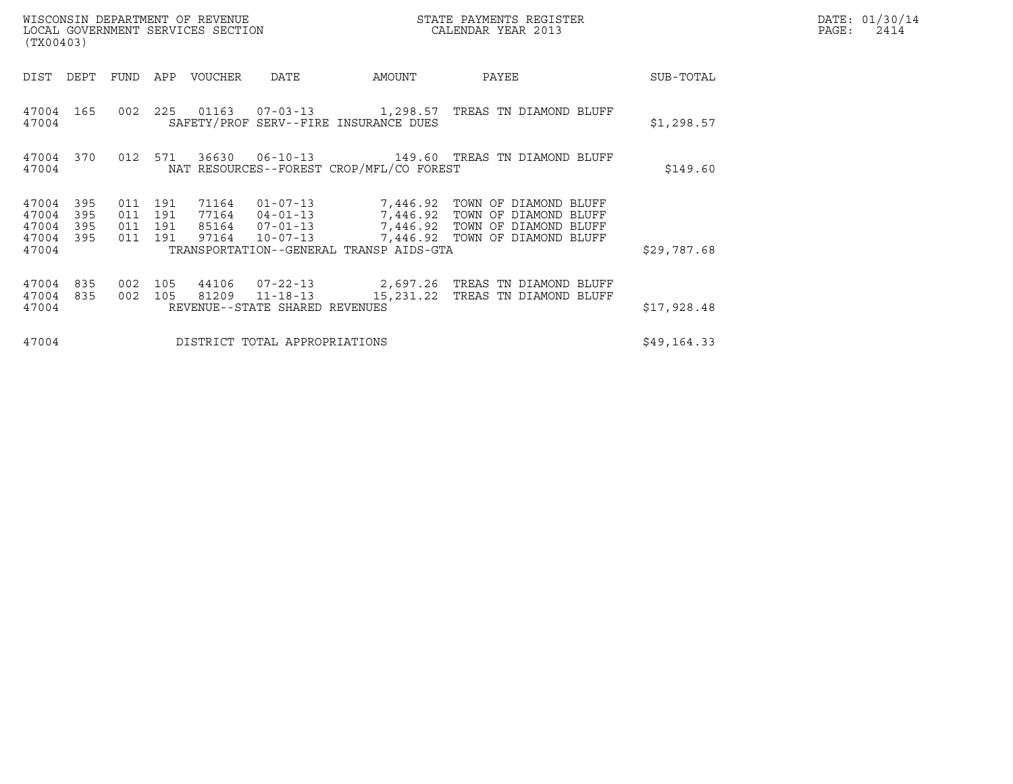| WISCONSIN DEPARTMENT OF REVENUE<br>LOCAL GOVERNMENT SERVICES SECTION<br>(TX00403) |                                          |     |                |                                                                      | DATE: 01/30/14<br>$\mathtt{PAGE:}$<br>2414 |                                                                                                                                      |             |  |
|-----------------------------------------------------------------------------------|------------------------------------------|-----|----------------|----------------------------------------------------------------------|--------------------------------------------|--------------------------------------------------------------------------------------------------------------------------------------|-------------|--|
| DIST<br>DEPT                                                                      | FUND                                     | APP | VOUCHER        | DATE                                                                 | AMOUNT                                     | PAYEE                                                                                                                                | SUB-TOTAL   |  |
| 47004 165<br>47004                                                                | 002                                      | 225 |                |                                                                      | SAFETY/PROF SERV--FIRE INSURANCE DUES      | 01163   07-03-13   1,298.57   TREAS TN DIAMOND BLUFF                                                                                 | \$1,298.57  |  |
| 47004 370<br>47004                                                                | 012 571                                  |     |                | NAT RESOURCES--FOREST CROP/MFL/CO FOREST                             | \$149.60                                   |                                                                                                                                      |             |  |
| 395<br>47004<br>47004<br>395<br>395<br>47004<br>47004<br>395                      | 011 191<br>011 191<br>011 191<br>011 191 |     | 71164<br>97164 | $01 - 07 - 13$<br>77164 04-01-13<br>85164 07-01-13<br>$10 - 07 - 13$ |                                            | 7,446.92 TOWN OF DIAMOND BLUFF<br>7,446.92 TOWN OF DIAMOND BLUFF<br>7,446.92 TOWN OF DIAMOND BLUFF<br>7,446.92 TOWN OF DIAMOND BLUFF |             |  |
| 47004                                                                             |                                          |     |                |                                                                      | TRANSPORTATION--GENERAL TRANSP AIDS-GTA    |                                                                                                                                      | \$29,787.68 |  |
| 835<br>47004<br>47004<br>835<br>47004                                             | 002<br>002 105                           | 105 | 81209          | 44106 07-22-13<br>$11 - 18 - 13$<br>REVENUE--STATE SHARED REVENUES   |                                            | 2,697.26   TREAS  TN DIAMOND BLUFF<br>15,231.22 TREAS TN DIAMOND BLUFF                                                               | \$17,928.48 |  |
| 47004                                                                             |                                          |     |                | DISTRICT TOTAL APPROPRIATIONS                                        |                                            |                                                                                                                                      | \$49,164.33 |  |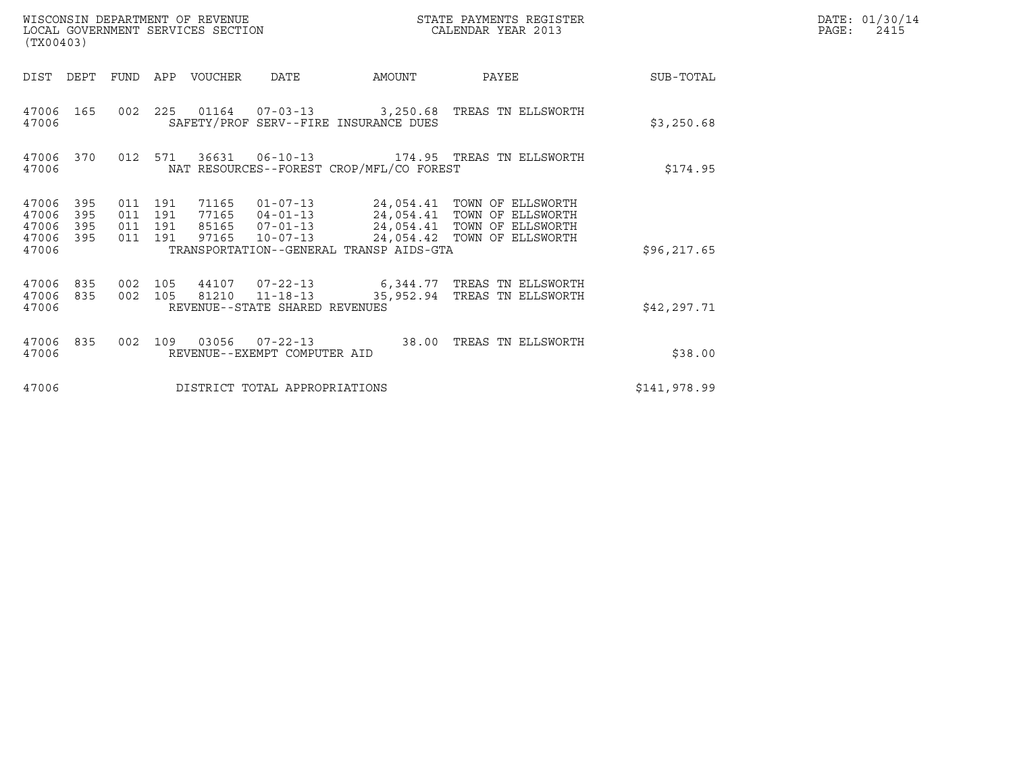| (TX00403)                                 |                          |                                      |     | WISCONSIN DEPARTMENT OF REVENUE<br>LOCAL GOVERNMENT SERVICES SECTION |                                                                      |                                          | STATE PAYMENTS REGISTER<br>CALENDAR YEAR 2013                                                                            | DATE: 01/30/14<br>PAGE:<br>2415 |  |
|-------------------------------------------|--------------------------|--------------------------------------|-----|----------------------------------------------------------------------|----------------------------------------------------------------------|------------------------------------------|--------------------------------------------------------------------------------------------------------------------------|---------------------------------|--|
| DIST                                      | DEPT                     | <b>FUND</b>                          | APP | VOUCHER                                                              | <b>DATE</b>                                                          | AMOUNT                                   | PAYEE                                                                                                                    | SUB-TOTAL                       |  |
| 47006<br>47006                            | 165                      |                                      |     |                                                                      |                                                                      | SAFETY/PROF SERV--FIRE INSURANCE DUES    | 002 225 01164 07-03-13 3,250.68 TREAS TN ELLSWORTH                                                                       | \$3,250.68                      |  |
| 47006<br>47006                            | 370                      | 012                                  | 571 |                                                                      | 36631 06-10-13                                                       | NAT RESOURCES--FOREST CROP/MFL/CO FOREST | 174.95 TREAS TN ELLSWORTH                                                                                                | \$174.95                        |  |
| 47006<br>47006<br>47006<br>47006<br>47006 | 395<br>395<br>395<br>395 | 011 191<br>011<br>011 191<br>011 191 | 191 | 71165<br>77165<br>85165<br>97165                                     | $01 - 07 - 13$<br>$04 - 01 - 13$<br>$07 - 01 - 13$<br>$10 - 07 - 13$ | TRANSPORTATION--GENERAL TRANSP AIDS-GTA  | 24,054.41 TOWN OF ELLSWORTH<br>24,054.41 TOWN OF ELLSWORTH<br>24,054.41 TOWN OF ELLSWORTH<br>24,054.42 TOWN OF ELLSWORTH | \$96, 217.65                    |  |
| 47006<br>47006<br>47006                   | 835<br>835               | 002 105<br>002 105                   |     | 81210                                                                | 44107 07-22-13<br>$11 - 18 - 13$<br>REVENUE--STATE SHARED REVENUES   | 35,952.94                                | 6,344.77 TREAS TN ELLSWORTH<br>TREAS TN ELLSWORTH                                                                        | \$42,297.71                     |  |
| 47006<br>47006                            | 835                      | 002                                  | 109 | 03056                                                                | $07 - 22 - 13$<br>REVENUE--EXEMPT COMPUTER AID                       | 38.00                                    | TREAS TN ELLSWORTH                                                                                                       | \$38.00                         |  |
| 47006                                     |                          |                                      |     |                                                                      | DISTRICT TOTAL APPROPRIATIONS                                        |                                          |                                                                                                                          | \$141,978.99                    |  |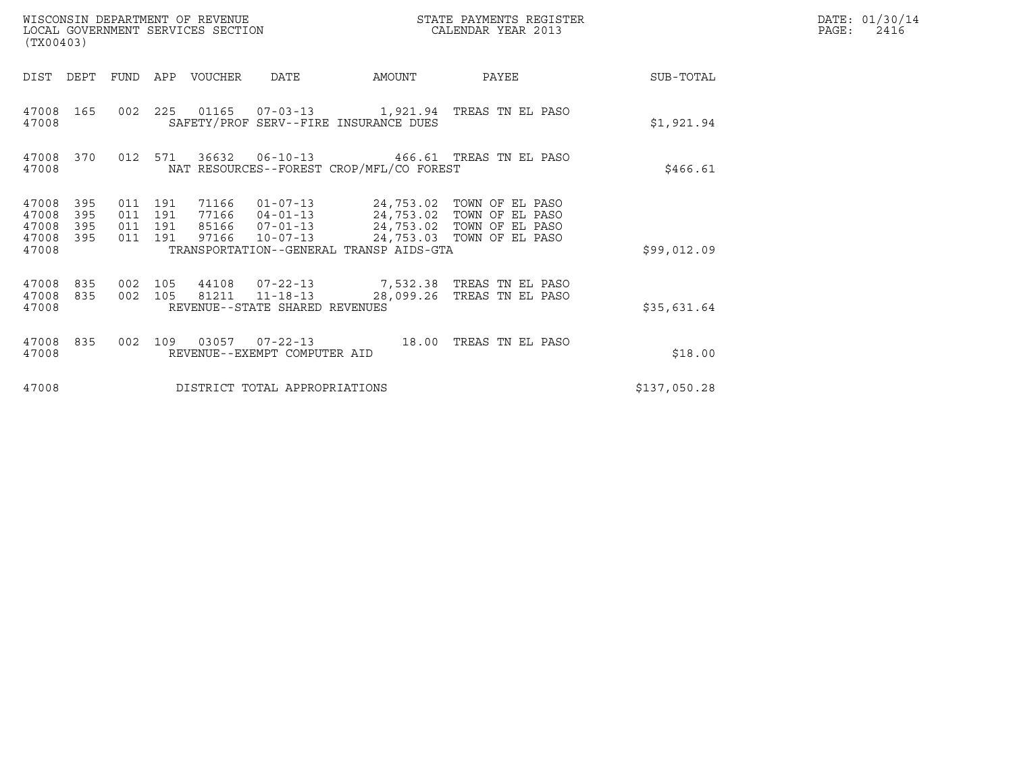| (TX00403)                                                             | WISCONSIN DEPARTMENT OF REVENUE<br>LOCAL GOVERNMENT SERVICES SECTION                              |                                                                                                                                                                    | STATE PAYMENTS REGISTER<br>CALENDAR YEAR 2013 |              | DATE: 01/30/14<br>$\mathtt{PAGE}$ :<br>2416 |
|-----------------------------------------------------------------------|---------------------------------------------------------------------------------------------------|--------------------------------------------------------------------------------------------------------------------------------------------------------------------|-----------------------------------------------|--------------|---------------------------------------------|
| DIST<br>DEPT                                                          | FUND<br>APP<br>VOUCHER<br><b>DATE</b>                                                             | AMOUNT                                                                                                                                                             | PAYEE                                         | SUB-TOTAL    |                                             |
| 165<br>47008<br>47008                                                 | 002 225 01165 07-03-13 1,921.94 TREAS TN EL PASO                                                  | SAFETY/PROF SERV--FIRE INSURANCE DUES                                                                                                                              |                                               | \$1,921.94   |                                             |
| 47008<br>370<br>47008                                                 | 012 571<br>36632 06-10-13                                                                         | NAT RESOURCES--FOREST CROP/MFL/CO FOREST                                                                                                                           | 466.61 TREAS TN EL PASO                       | \$466.61     |                                             |
| 47008<br>395<br>47008<br>395<br>395<br>47008<br>47008<br>395<br>47008 | 011 191<br>71166<br>191<br>011<br>77166<br>011 191<br>$10 - 07 - 13$<br>011 191<br>97166          | 01-07-13 24,753.02 TOWN OF EL PASO<br>04-01-13 24,753.02 TOWN OF EL PASO<br>85166  07-01-13  24,753.02  TOWN OF EL PASO<br>TRANSPORTATION--GENERAL TRANSP AIDS-GTA | 24,753.03 TOWN OF EL PASO                     | \$99,012.09  |                                             |
| 47008<br>835<br>47008<br>835<br>47008                                 | 002 105<br>44108<br>$07 - 22 - 13$<br>002 105<br>81211 11-18-13<br>REVENUE--STATE SHARED REVENUES | 7,532.38 TREAS TN EL PASO<br>28,099.26                                                                                                                             | TREAS TN EL PASO                              | \$35,631.64  |                                             |
| 47008<br>835<br>47008                                                 | 002<br>109<br>REVENUE--EXEMPT COMPUTER AID                                                        | 18.00                                                                                                                                                              | TREAS TN EL PASO                              | \$18.00      |                                             |
| 47008                                                                 | DISTRICT TOTAL APPROPRIATIONS                                                                     |                                                                                                                                                                    |                                               | \$137,050.28 |                                             |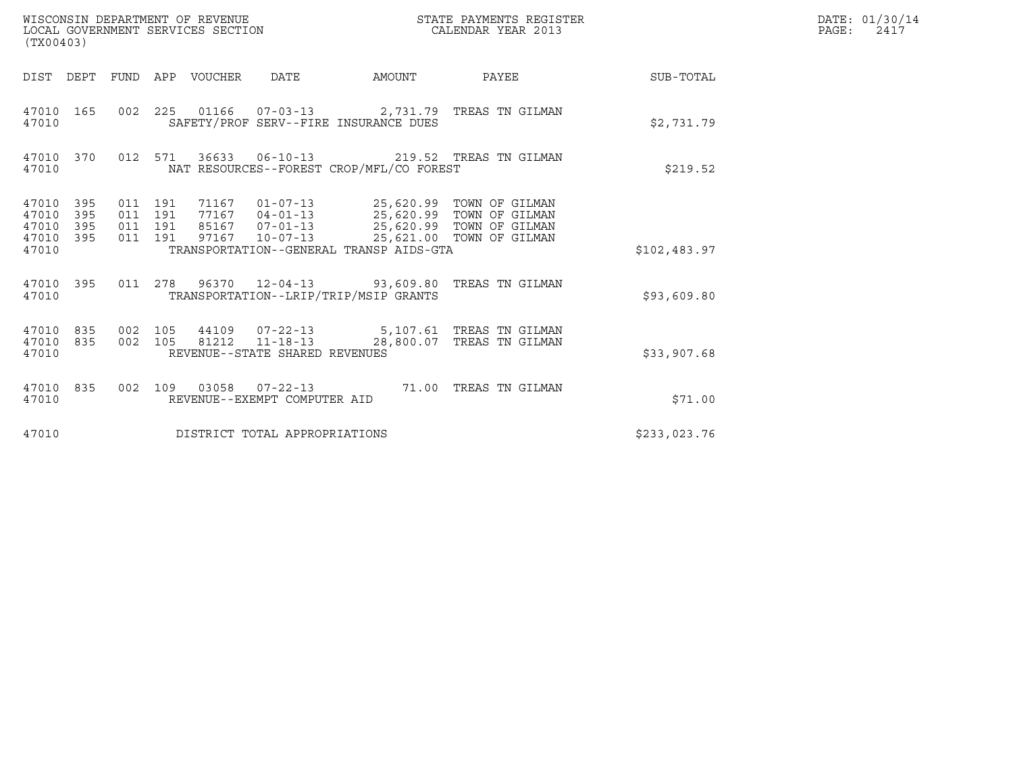| WISCONSIN DEPARTMENT OF REVENUE<br>LOCAL GOVERNMENT SERVICES SECTION<br>(TX00403) |                                          |                                                          |                                                                                                                                                                 | STATE PAYMENTS REGISTER<br>CALENDAR YEAR 2013 |              | DATE: 01/30/14<br>$\mathtt{PAGE}$ :<br>2417 |
|-----------------------------------------------------------------------------------|------------------------------------------|----------------------------------------------------------|-----------------------------------------------------------------------------------------------------------------------------------------------------------------|-----------------------------------------------|--------------|---------------------------------------------|
|                                                                                   |                                          | DIST DEPT FUND APP VOUCHER DATE                          | AMOUNT                                                                                                                                                          | PAYEE                                         | SUB-TOTAL    |                                             |
| 47010 165<br>47010                                                                |                                          |                                                          | 002 225 01166 07-03-13 2,731.79 TREAS TN GILMAN<br>SAFETY/PROF SERV--FIRE INSURANCE DUES                                                                        |                                               | \$2,731.79   |                                             |
| 47010 370<br>47010                                                                |                                          |                                                          | 012 571 36633 06-10-13 219.52 TREAS TN GILMAN<br>NAT RESOURCES--FOREST CROP/MFL/CO FOREST                                                                       |                                               | \$219.52     |                                             |
| 47010 395<br>47010<br>395<br>47010<br>395<br>47010 395<br>47010                   | 011 191<br>011 191<br>011 191<br>011 191 | 85167 07-01-13<br>97167 10-07-13                         | 71167  01-07-13  25,620.99  TOWN OF GILMAN<br>77167  04-01-13  25,620.99  TOWN OF GILMAN<br>25,620.99 TOWN OF GILMAN<br>TRANSPORTATION--GENERAL TRANSP AIDS-GTA | 25,621.00 TOWN OF GILMAN                      | \$102,483.97 |                                             |
| 47010 395<br>47010                                                                |                                          |                                                          | 011  278  96370  12-04-13  93,609.80  TREAS TN GILMAN<br>TRANSPORTATION--LRIP/TRIP/MSIP GRANTS                                                                  |                                               | \$93,609.80  |                                             |
| 47010 835<br>47010 835<br>47010                                                   | 002 105                                  | 002 105 81212 11-18-13<br>REVENUE--STATE SHARED REVENUES | 44109  07-22-13  5,107.61  TREAS TN GILMAN                                                                                                                      | 28,800.07 TREAS TN GILMAN                     | \$33,907.68  |                                             |
| 47010 835<br>47010                                                                |                                          | REVENUE--EXEMPT COMPUTER AID                             | 002 109 03058 07-22-13 71.00 TREAS TN GILMAN                                                                                                                    |                                               | \$71.00      |                                             |
| 47010                                                                             |                                          | DISTRICT TOTAL APPROPRIATIONS                            |                                                                                                                                                                 |                                               | \$233,023.76 |                                             |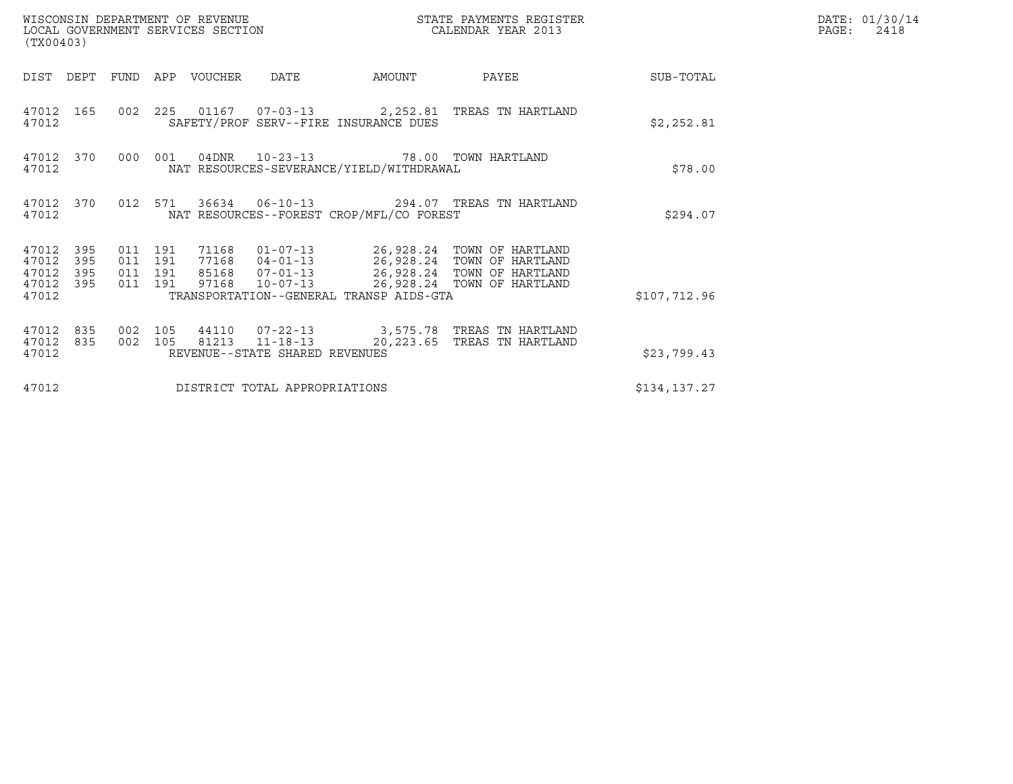| (TX00403)                                     |                   |                               |         | WISCONSIN DEPARTMENT OF REVENUE<br>LOCAL GOVERNMENT SERVICES SECTION |                                |                                                                                  | STATE PAYMENTS REGISTER<br>CALENDAR YEAR 2013                                                                                                                        |              | DATE: 01/30/14<br>PAGE:<br>2418 |
|-----------------------------------------------|-------------------|-------------------------------|---------|----------------------------------------------------------------------|--------------------------------|----------------------------------------------------------------------------------|----------------------------------------------------------------------------------------------------------------------------------------------------------------------|--------------|---------------------------------|
| DIST                                          | DEPT              |                               |         | FUND APP VOUCHER                                                     | DATE                           | AMOUNT                                                                           | PAYEE                                                                                                                                                                | SUB-TOTAL    |                                 |
| 47012                                         | 47012 165         |                               |         |                                                                      |                                | SAFETY/PROF SERV--FIRE INSURANCE DUES                                            | 002 225 01167 07-03-13 2,252.81 TREAS TN HARTLAND                                                                                                                    | \$2,252.81   |                                 |
| 47012                                         | 47012 370         | 000                           | 001     |                                                                      |                                | 04DNR  10-23-13  78.00 TOWN HARTLAND<br>NAT RESOURCES-SEVERANCE/YIELD/WITHDRAWAL |                                                                                                                                                                      | \$78.00      |                                 |
| 47012                                         | 47012 370         |                               | 012 571 |                                                                      |                                | NAT RESOURCES--FOREST CROP/MFL/CO FOREST                                         | 36634    06-10-13    294.07    TREAS TN HARTLAND                                                                                                                     | \$294.07     |                                 |
| 47012 395<br>47012<br>47012<br>47012<br>47012 | 395<br>395<br>395 | 011 191<br>011 191<br>011 191 | 011 191 | 71168<br>97168                                                       | $10 - 07 - 13$                 | TRANSPORTATION--GENERAL TRANSP AIDS-GTA                                          | 01-07-13    26,928.24 TOWN OF HARTLAND<br>77168  04-01-13  26,928.24  TOWN OF HARTLAND<br>85168  07-01-13  26,928.24  TOWN OF HARTLAND<br>26,928.24 TOWN OF HARTLAND | \$107,712.96 |                                 |
| 47012<br>47012<br>47012                       | 835<br>835        | 002<br>002 105                | 105     |                                                                      | REVENUE--STATE SHARED REVENUES |                                                                                  | 44110  07-22-13  3,575.78  TREAS TN HARTLAND<br>81213  11-18-13  20,223.65  TREAS TN HARTLAND                                                                        | \$23,799.43  |                                 |
| 47012                                         |                   |                               |         |                                                                      | DISTRICT TOTAL APPROPRIATIONS  |                                                                                  |                                                                                                                                                                      | \$134,137.27 |                                 |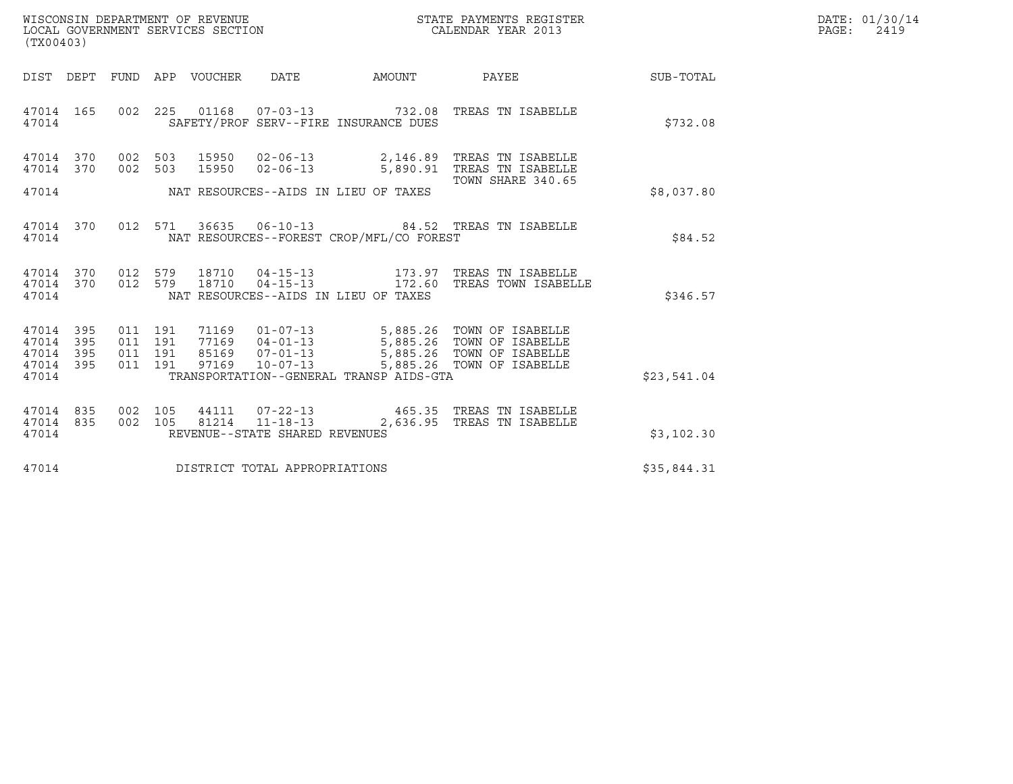| WISCONSIN DEPARTMENT OF REVENUE   | STATE PAYMENTS REGISTER | DATE: 01/30/14 |
|-----------------------------------|-------------------------|----------------|
| LOCAL GOVERNMENT SERVICES SECTION | CALENDAR YEAR 2013      | PAGE:<br>2419  |

| (TX00403)                                                 |  |                                 |                                |                                                |                                                                                                                                                                                                                                                                                                             |             | DATE: 01/30/14<br>$\mathtt{PAGE:}$<br>2419 |
|-----------------------------------------------------------|--|---------------------------------|--------------------------------|------------------------------------------------|-------------------------------------------------------------------------------------------------------------------------------------------------------------------------------------------------------------------------------------------------------------------------------------------------------------|-------------|--------------------------------------------|
|                                                           |  | DIST DEPT FUND APP VOUCHER DATE |                                |                                                | AMOUNT PAYEE SUB-TOTAL                                                                                                                                                                                                                                                                                      |             |                                            |
| 47014                                                     |  |                                 |                                | SAFETY/PROF SERV--FIRE INSURANCE DUES          | 47014 165 002 225 01168 07-03-13 732.08 TREAS TN ISABELLE                                                                                                                                                                                                                                                   | \$732.08    |                                            |
|                                                           |  |                                 |                                |                                                | 47014 370 002 503 15950 02-06-13 2,146.89 TREAS TN ISABELLE<br>47014 370 002 503 15950 02-06-13 5,890.91 TREAS TN ISABELLE                                                                                                                                                                                  |             |                                            |
|                                                           |  |                                 |                                | 47014 MAT RESOURCES--AIDS IN LIEU OF TAXES     | TOWN SHARE 340.65                                                                                                                                                                                                                                                                                           | \$8,037.80  |                                            |
|                                                           |  |                                 |                                | 47014 NAT RESOURCES--FOREST CROP/MFL/CO FOREST | 47014 370 012 571 36635 06-10-13 84.52 TREAS TN ISABELLE                                                                                                                                                                                                                                                    | \$84.52     |                                            |
| 47014                                                     |  |                                 |                                | NAT RESOURCES--AIDS IN LIEU OF TAXES           | $\begin{array}{cccccc} 4\,7\,0\,1\,4 & 3\,7\,0 & 0\,1\,2 & 5\,7\,9 & 1\,8\,7\,1\,0 & 0\,4\,-1\,5\,-1\,3 & & & & 1\,7\,3\,.9\,7 & \text{TREAS TN ISABELLE} \\ \bf{4}\,7\,0\,1\,4 & 3\,7\,0 & 0\,1\,2 & 5\,7\,9 & 1\,8\,7\,1\,0 & 0\,4\,-1\,5\,-1\,3 & & & 1\,7\,2\,.6\,0 & \text{TREAS TOWN ISABLELLE} \end$ | \$346.57    |                                            |
| 47014 395<br>47014 395<br>47014 395<br>47014 395<br>47014 |  |                                 |                                | TRANSPORTATION--GENERAL TRANSP AIDS-GTA        | 011 191 71169 01-07-13 5,885.26 TOWN OF ISABELLE<br>011 191 77169 04-01-13 5,885.26 TOWN OF ISABELLE<br>011 191 85169 07-01-13 5,885.26 TOWN OF ISABELLE<br>011 191 97169 10-07-13 5,885.26 TOWN OF ISABELLE                                                                                                | \$23,541.04 |                                            |
| 47014 835<br>47014 835<br>47014                           |  |                                 | REVENUE--STATE SHARED REVENUES |                                                | 002 105 44111 07-22-13 465.35 TREAS TN ISABELLE<br>002 105 81214 11-18-13 2,636.95 TREAS TN ISABELLE                                                                                                                                                                                                        | \$3,102.30  |                                            |
| 47014                                                     |  |                                 | DISTRICT TOTAL APPROPRIATIONS  |                                                |                                                                                                                                                                                                                                                                                                             | \$35,844.31 |                                            |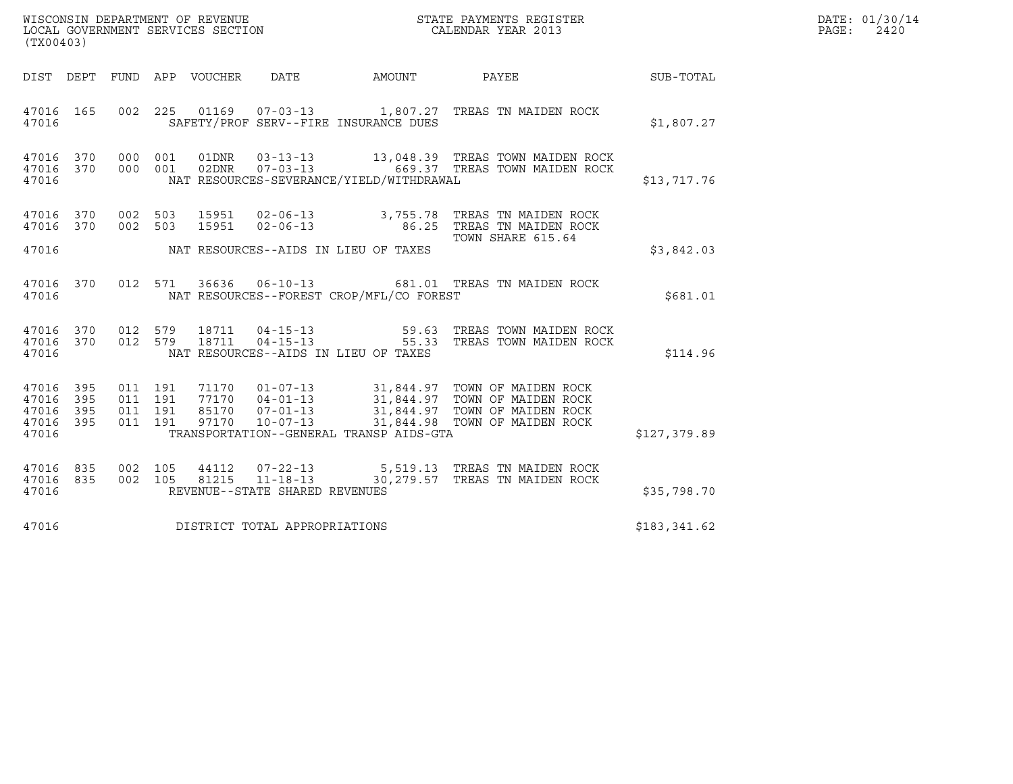| WISCONSIN DEPARTMENT OF REVENUE   | STATE PAYMENTS REGISTER | DATE: 01/30/14 |
|-----------------------------------|-------------------------|----------------|
| LOCAL GOVERNMENT SERVICES SECTION | CALENDAR YEAR 2013      | 2420<br>PAGE : |

| (TX00403)                                                 |                                 |                    |  |                                |                                            | WISCONSIN DEPARTMENT OF REVENUE<br>LOCAL GOVERNMENT SERVICES SECTION THE STATE PAYMENTS REGISTER<br>CALENDAR YEAR 2013                                                                                                                                                                                                                                                          | $\mathbb{E} \mathbb{R}$ | DATE: 01/30/14<br>$\mathtt{PAGE:}$<br>2420 |
|-----------------------------------------------------------|---------------------------------|--------------------|--|--------------------------------|--------------------------------------------|---------------------------------------------------------------------------------------------------------------------------------------------------------------------------------------------------------------------------------------------------------------------------------------------------------------------------------------------------------------------------------|-------------------------|--------------------------------------------|
|                                                           |                                 |                    |  |                                |                                            | DIST DEPT FUND APP VOUCHER DATE AMOUNT PAYEE THE SUB-TOTAL                                                                                                                                                                                                                                                                                                                      |                         |                                            |
| 47016                                                     |                                 |                    |  |                                | SAFETY/PROF SERV--FIRE INSURANCE DUES      | 47016 165 002 225 01169 07-03-13 1,807.27 TREAS TN MAIDEN ROCK                                                                                                                                                                                                                                                                                                                  | \$1,807.27              |                                            |
| 47016                                                     |                                 |                    |  |                                | NAT RESOURCES-SEVERANCE/YIELD/WITHDRAWAL   | $\begin{array}{cccccc} 47016 & 370 & 000 & 001 & 01 \text{DNR} & 03-13-13 & & 13\, ,048\, .39 & \text{TREAS} & \text{TOWN} & \text{MAIDEN ROCK} \\ 47016 & 370 & 000 & 001 & 02 \text{DNR} & 07-03-13 & & 669\, .37 & \text{TREAS} & \text{TOWN} & \text{MAIDEN ROCK} \end{array}$                                                                                              | \$13,717.76             |                                            |
|                                                           | 47016 370<br>47016 370          | 002 503<br>002 503 |  |                                |                                            | TOWN SHARE 615.64                                                                                                                                                                                                                                                                                                                                                               |                         |                                            |
|                                                           |                                 |                    |  |                                | 47016 MAT RESOURCES--AIDS IN LIEU OF TAXES |                                                                                                                                                                                                                                                                                                                                                                                 | \$3,842.03              |                                            |
| 47016                                                     |                                 |                    |  |                                | NAT RESOURCES--FOREST CROP/MFL/CO FOREST   | 47016 370 012 571 36636 06-10-13 681.01 TREAS TN MAIDEN ROCK                                                                                                                                                                                                                                                                                                                    | \$681.01                |                                            |
| 47016                                                     |                                 |                    |  |                                | NAT RESOURCES--AIDS IN LIEU OF TAXES       | 47016  370  012  579  18711  04-15-13   59.63  TREAS TOWN MAIDEN ROCK   47016   370  012  579  18711  04-15-13   55.33  TREAS TOWN MAIDEN ROCK                                                                                                                                                                                                                                  | \$114.96                |                                            |
| 47016 395<br>47016 395<br>47016 395<br>47016 395<br>47016 |                                 |                    |  |                                |                                            | $\begin{array}{cccccc} 011 & 191 & 71170 & 01-07-13 & 31,844.97 & \text{TOWN OF MAIDEN ROCK} \\ 011 & 191 & 77170 & 04-01-13 & 31,844.97 & \text{TOWN OF MAIDEN ROCK} \\ 011 & 191 & 85170 & 07-01-13 & 31,844.97 & \text{TOWN OF MAIDEN ROCK} \\ 011 & 191 & 97170 & 10-07-13 & 31,844.98 & \text{TOWN OF MAIDEN ROCK} \end{array}$<br>TRANSPORTATION--GENERAL TRANSP AIDS-GTA | \$127,379.89            |                                            |
|                                                           | 47016 835<br>47016 835<br>47016 |                    |  | REVENUE--STATE SHARED REVENUES |                                            | 002 105 44112 07-22-13 5,519.13 TREAS TN MAIDEN ROCK<br>002 105 81215 11-18-13 30,279.57 TREAS TN MAIDEN ROCK                                                                                                                                                                                                                                                                   | \$35,798.70             |                                            |
| 47016                                                     |                                 |                    |  | DISTRICT TOTAL APPROPRIATIONS  |                                            |                                                                                                                                                                                                                                                                                                                                                                                 | \$183,341.62            |                                            |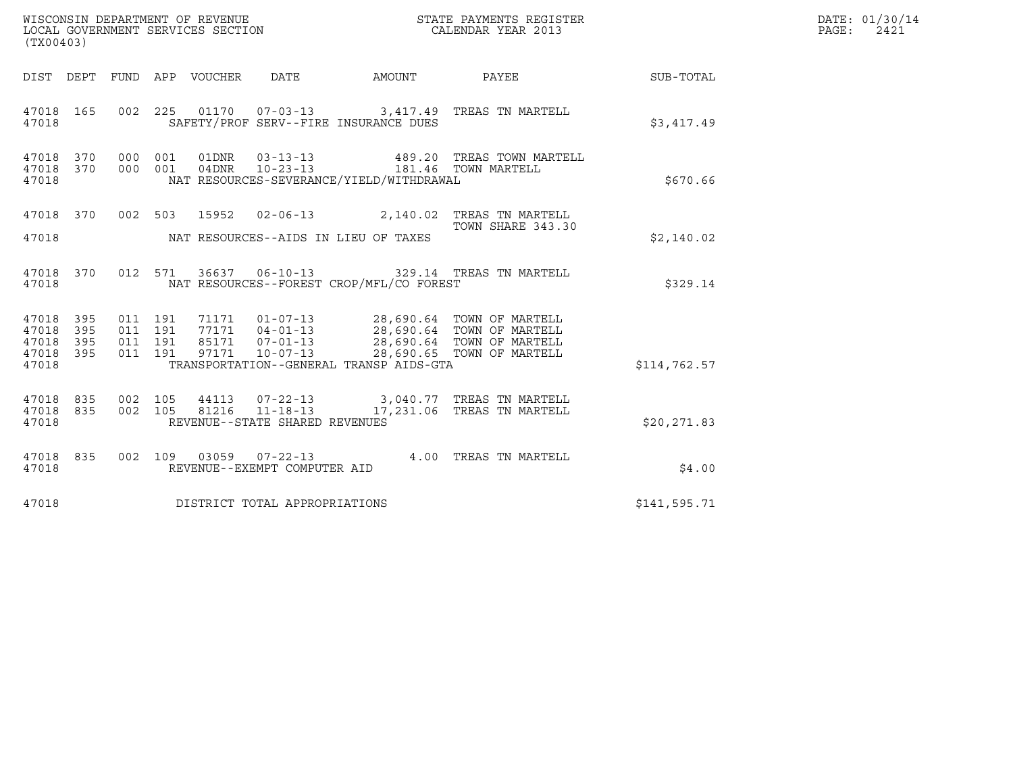| (TX00403)                                     |                   |                               |         | WISCONSIN DEPARTMENT OF REVENUE<br>LOCAL GOVERNMENT SERVICES SECTION |                                          | DATE: 01/30/14<br>PAGE: 2421                                                                                                                                                                         |              |  |
|-----------------------------------------------|-------------------|-------------------------------|---------|----------------------------------------------------------------------|------------------------------------------|------------------------------------------------------------------------------------------------------------------------------------------------------------------------------------------------------|--------------|--|
|                                               |                   |                               |         |                                                                      |                                          | DIST DEPT FUND APP VOUCHER DATE AMOUNT PAYEE TO SUB-TOTAL                                                                                                                                            |              |  |
| 47018 165<br>47018                            |                   |                               |         |                                                                      | SAFETY/PROF SERV--FIRE INSURANCE DUES    | 002  225  01170  07-03-13  3,417.49  TREAS TN MARTELL                                                                                                                                                | \$3,417.49   |  |
| 47018 370 000 001<br>47018 370<br>47018       |                   | 000 001                       |         | 04DNR 10-23-13                                                       | NAT RESOURCES-SEVERANCE/YIELD/WITHDRAWAL | 01DNR  03-13-13  489.20 TREAS TOWN MARTELL<br>181.46 TOWN MARTELL                                                                                                                                    | \$670.66     |  |
| 47018                                         |                   |                               |         |                                                                      | NAT RESOURCES--AIDS IN LIEU OF TAXES     | 47018 370 002 503 15952 02-06-13 2,140.02 TREAS TN MARTELL<br>TOWN SHARE 343.30                                                                                                                      | \$2,140.02   |  |
| 47018 370<br>47018                            |                   |                               |         |                                                                      | NAT RESOURCES--FOREST CROP/MFL/CO FOREST | 012 571 36637 06-10-13 329.14 TREAS TN MARTELL                                                                                                                                                       | \$329.14     |  |
| 47018 395<br>47018<br>47018<br>47018<br>47018 | 395<br>395<br>395 | 011 191<br>011 191<br>011 191 | 011 191 |                                                                      | TRANSPORTATION--GENERAL TRANSP AIDS-GTA  | 71171   01-07-13   28,690.64   TOWN OF MARTELL<br>77171   04-01-13   28,690.64   TOWN OF MARTELL<br>85171   07-01-13   28,690.64   TOWN OF MARTELL<br>97171   10-07-13   28,690.65   TOWN OF MARTELL | \$114,762.57 |  |
| 47018<br>47018 835<br>47018                   | 835               |                               |         | REVENUE--STATE SHARED REVENUES                                       |                                          | 002 105 44113 07-22-13 3,040.77 TREAS TN MARTELL<br>002 105 81216 11-18-13 17,231.06 TREAS TN MARTELL                                                                                                | \$20, 271.83 |  |
| 47018 835<br>47018                            |                   |                               |         | REVENUE--EXEMPT COMPUTER AID                                         |                                          | 002 109 03059 07-22-13 4.00 TREAS TN MARTELL                                                                                                                                                         | \$4.00       |  |
| 47018                                         |                   |                               |         | DISTRICT TOTAL APPROPRIATIONS                                        |                                          |                                                                                                                                                                                                      | \$141,595.71 |  |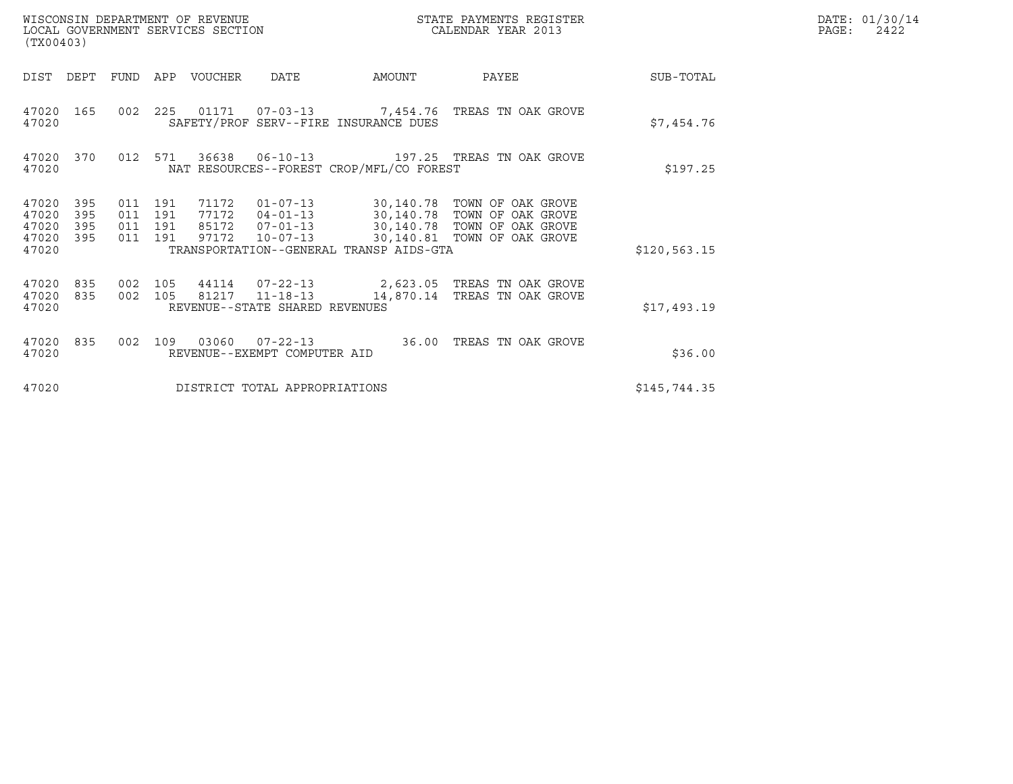| (TX00403)                                     |                   |                                          | WISCONSIN DEPARTMENT OF REVENUE<br>LOCAL GOVERNMENT SERVICES SECTION |                                |                                          | STATE PAYMENTS REGISTER<br>N<br>CALENDAR YEAR 2013                                                                                                                                               |               | DATE: 01/30/14<br>$\mathtt{PAGE}$ :<br>2422 |
|-----------------------------------------------|-------------------|------------------------------------------|----------------------------------------------------------------------|--------------------------------|------------------------------------------|--------------------------------------------------------------------------------------------------------------------------------------------------------------------------------------------------|---------------|---------------------------------------------|
|                                               |                   |                                          | DIST DEPT FUND APP VOUCHER DATE                                      |                                | AMOUNT                                   | <b>PAYEE</b>                                                                                                                                                                                     | SUB-TOTAL     |                                             |
| 47020                                         |                   |                                          |                                                                      |                                | SAFETY/PROF SERV--FIRE INSURANCE DUES    | 47020 165 002 225 01171 07-03-13 7,454.76 TREAS TN OAK GROVE                                                                                                                                     | \$7,454.76    |                                             |
| 47020                                         | 47020 370         | 012 571                                  |                                                                      |                                | NAT RESOURCES--FOREST CROP/MFL/CO FOREST |                                                                                                                                                                                                  | \$197.25      |                                             |
| 47020 395<br>47020<br>47020<br>47020<br>47020 | 395<br>395<br>395 | 011 191<br>011 191<br>011 191<br>011 191 |                                                                      |                                | TRANSPORTATION--GENERAL TRANSP AIDS-GTA  | 71172  01-07-13  30,140.78  TOWN OF OAK GROVE<br>77172  04-01-13  30,140.78  TOWN OF OAK GROVE<br>85172  07-01-13  30,140.78  TOWN OF OAK GROVE<br>97172  10-07-13  30,140.81  TOWN OF OAK GROVE | \$120, 563.15 |                                             |
| 47020<br>47020<br>47020                       | 835<br>835        | 002 105<br>002 105                       |                                                                      | REVENUE--STATE SHARED REVENUES |                                          | 44114  07-22-13  2,623.05  TREAS TN OAK GROVE<br>81217  11-18-13  14,870.14  TREAS TN OAK GROVE                                                                                                  | \$17,493.19   |                                             |
| 47020 835<br>47020                            |                   | 002 109                                  |                                                                      | REVENUE--EXEMPT COMPUTER AID   |                                          |                                                                                                                                                                                                  | \$36.00       |                                             |
| 47020                                         |                   |                                          |                                                                      | DISTRICT TOTAL APPROPRIATIONS  |                                          |                                                                                                                                                                                                  | \$145,744.35  |                                             |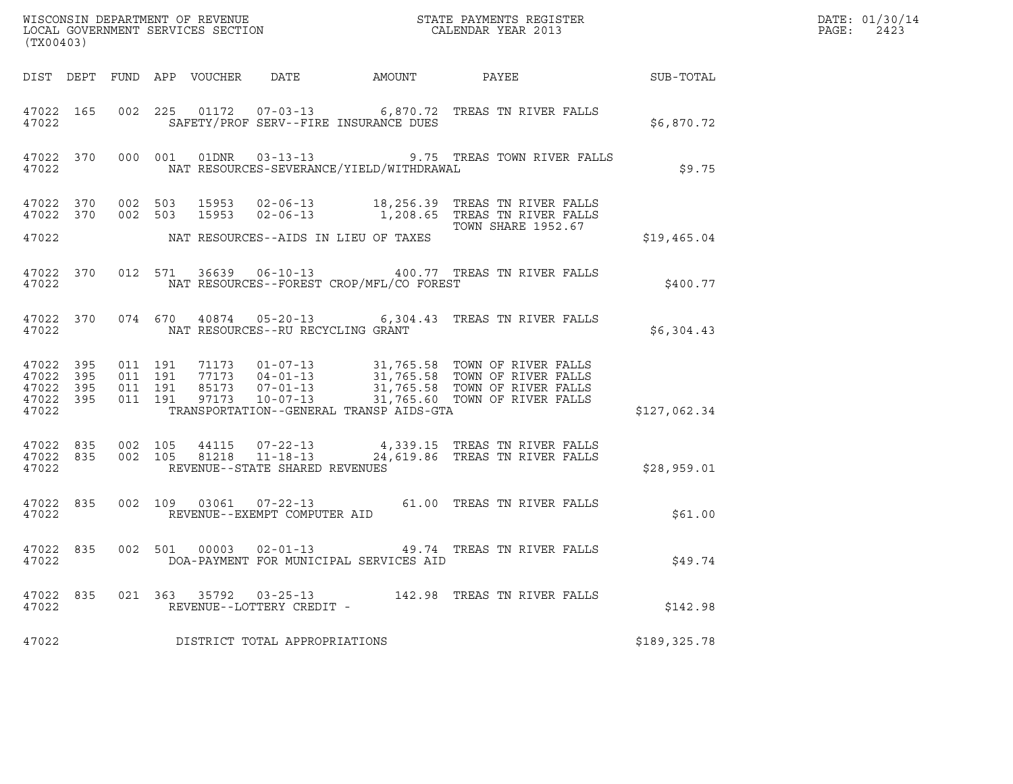| (TX00403)                                             |                   |                               |         |                        |                                                     |                                          | ${\tt WISCOONSIM\ DEPARTMENT\ OF\ REVENUE}\qquad \qquad {\tt STATE\ PAYMENTS\ REGISTER\ LOCAL\ GOVERNMENT\ SERVICES\ SECTION\qquad \qquad {\tt CALENDAR\ YEAR\ 2013}$                                    |              | DATE: 01/30/14<br>PAGE:<br>2423 |
|-------------------------------------------------------|-------------------|-------------------------------|---------|------------------------|-----------------------------------------------------|------------------------------------------|----------------------------------------------------------------------------------------------------------------------------------------------------------------------------------------------------------|--------------|---------------------------------|
|                                                       |                   |                               |         |                        |                                                     |                                          | DIST DEPT FUND APP VOUCHER DATE AMOUNT PAYEE TO SUB-TOTAL                                                                                                                                                |              |                                 |
| 47022                                                 | 47022 165         |                               |         |                        |                                                     | SAFETY/PROF SERV--FIRE INSURANCE DUES    | 002 225 01172 07-03-13 6,870.72 TREAS TN RIVER FALLS                                                                                                                                                     | \$6,870.72   |                                 |
| 47022                                                 |                   |                               |         |                        |                                                     | NAT RESOURCES-SEVERANCE/YIELD/WITHDRAWAL | 47022 370 000 001 01DNR 03-13-13 9.75 TREAS TOWN RIVER FALLS                                                                                                                                             | \$9.75       |                                 |
| 47022 370                                             | 47022 370 002 503 |                               | 002 503 |                        |                                                     |                                          | 15953  02-06-13   18,256.39   TREAS TN RIVER FALLS<br>15953  02-06-13   1,208.65   TREAS TN RIVER FALLS                                                                                                  |              |                                 |
| 47022                                                 |                   |                               |         |                        |                                                     | NAT RESOURCES--AIDS IN LIEU OF TAXES     | TOWN SHARE 1952.67                                                                                                                                                                                       | \$19,465.04  |                                 |
| 47022                                                 |                   |                               |         |                        |                                                     | NAT RESOURCES--FOREST CROP/MFL/CO FOREST | 47022 370 012 571 36639 06-10-13 400.77 TREAS TN RIVER FALLS                                                                                                                                             | \$400.77     |                                 |
| 47022                                                 |                   |                               |         |                        | NAT RESOURCES--RU RECYCLING GRANT                   |                                          | 47022 370 074 670 40874 05-20-13 6,304.43 TREAS TN RIVER FALLS                                                                                                                                           | \$6,304.43   |                                 |
| 47022 395<br>47022<br>47022 395<br>47022 395<br>47022 | 395               | 011 191<br>011 191<br>011 191 | 011 191 |                        |                                                     | TRANSPORTATION--GENERAL TRANSP AIDS-GTA  | 71173  01-07-13  31,765.58  TOWN OF RIVER FALLS<br>77173  04-01-13  31,765.58  TOWN OF RIVER FALLS<br>85173  07-01-13  31,765.58  TOWN OF RIVER FALLS<br>97173  10-07-13  31,765.60  TOWN OF RIVER FALLS | \$127,062.34 |                                 |
| 47022 835<br>47022                                    | 47022 835         | 002 105                       |         | 44115<br>002 105 81218 | REVENUE--STATE SHARED REVENUES                      |                                          | 07-22-13 4,339.15 TREAS TN RIVER FALLS<br>11-18-13 24,619.86 TREAS TN RIVER FALLS                                                                                                                        | \$28,959.01  |                                 |
| 47022                                                 | 47022 835         |                               |         |                        | REVENUE--EXEMPT COMPUTER AID                        |                                          | 002 109 03061 07-22-13 61.00 TREAS TN RIVER FALLS                                                                                                                                                        | \$61.00      |                                 |
| 47022                                                 |                   |                               |         |                        |                                                     | DOA-PAYMENT FOR MUNICIPAL SERVICES AID   | 47022 835 002 501 00003 02-01-13 49.74 TREAS TN RIVER FALLS                                                                                                                                              | \$49.74      |                                 |
| 47022 835<br>47022                                    |                   |                               |         |                        | 021 363 35792 03-25-13<br>REVENUE--LOTTERY CREDIT - |                                          | 142.98 TREAS TN RIVER FALLS                                                                                                                                                                              | \$142.98     |                                 |
| 47022                                                 |                   |                               |         |                        | DISTRICT TOTAL APPROPRIATIONS                       |                                          |                                                                                                                                                                                                          | \$189,325.78 |                                 |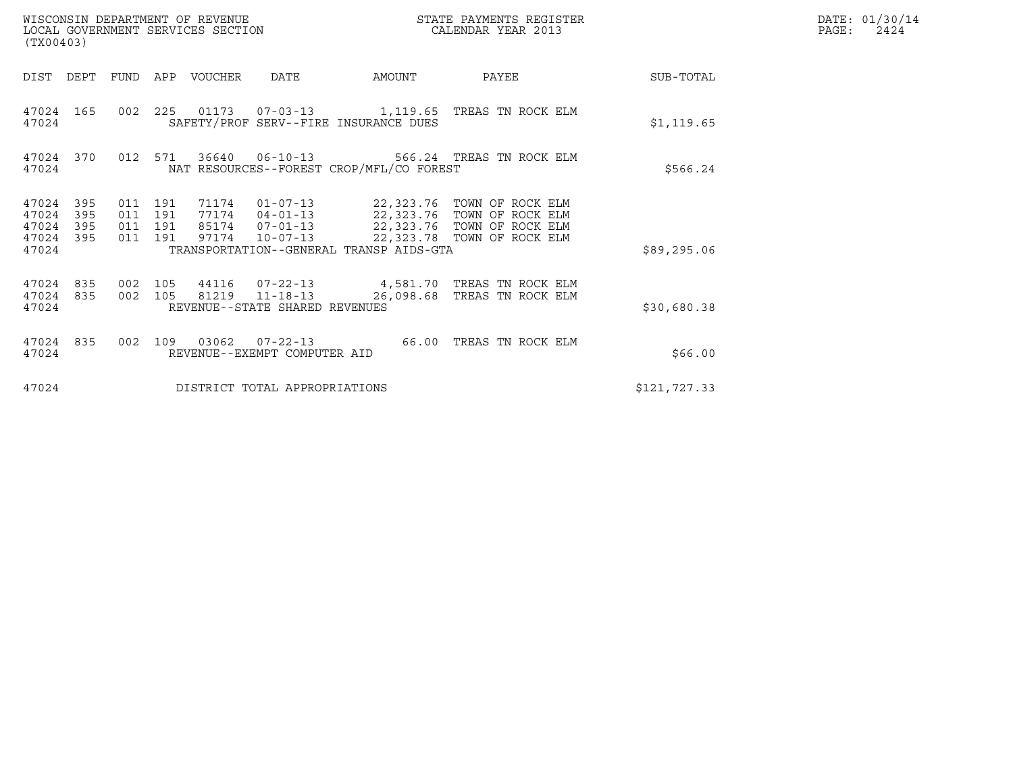| (TX00403)                                 |                          |                                          |     | WISCONSIN DEPARTMENT OF REVENUE<br>LOCAL GOVERNMENT SERVICES SECTION |                                                                    |                                          | STATE PAYMENTS REGISTER<br>CALENDAR YEAR 2013                                                                                                                              |              | DATE: 01/30/14<br>$\mathtt{PAGE}$ :<br>2424 |
|-------------------------------------------|--------------------------|------------------------------------------|-----|----------------------------------------------------------------------|--------------------------------------------------------------------|------------------------------------------|----------------------------------------------------------------------------------------------------------------------------------------------------------------------------|--------------|---------------------------------------------|
| DIST DEPT                                 |                          | FUND                                     | APP | VOUCHER                                                              | <b>DATE</b>                                                        | AMOUNT                                   | PAYEE                                                                                                                                                                      | SUB-TOTAL    |                                             |
| 47024 165<br>47024                        |                          |                                          |     |                                                                      |                                                                    | SAFETY/PROF SERV--FIRE INSURANCE DUES    | 002 225 01173 07-03-13 1,119.65 TREAS TN ROCK ELM                                                                                                                          | \$1,119.65   |                                             |
| 47024 370<br>47024                        |                          | 012 571                                  |     |                                                                      | 36640 06-10-13                                                     | NAT RESOURCES--FOREST CROP/MFL/CO FOREST | 566.24 TREAS TN ROCK ELM                                                                                                                                                   | \$566.24     |                                             |
| 47024<br>47024<br>47024<br>47024<br>47024 | 395<br>395<br>395<br>395 | 011 191<br>011 191<br>011 191<br>011 191 |     | 97174                                                                | $10 - 07 - 13$                                                     | TRANSPORTATION--GENERAL TRANSP AIDS-GTA  | 71174  01-07-13  22,323.76  TOWN OF ROCK ELM<br>77174  04-01-13  22,323.76  TOWN OF ROCK ELM<br>85174  07-01-13  22,323.76  TOWN OF ROCK ELM<br>22,323.78 TOWN OF ROCK ELM | \$89,295.06  |                                             |
| 47024<br>47024<br>47024                   | 835<br>835               | 002 105<br>002 105                       |     | 44116                                                                | $07 - 22 - 13$<br>81219 11-18-13<br>REVENUE--STATE SHARED REVENUES | 26,098.68                                | 4,581.70 TREAS TN ROCK ELM<br>TREAS TN ROCK ELM                                                                                                                            | \$30,680.38  |                                             |
| 47024 835<br>47024                        |                          | 002                                      | 109 | 03062                                                                | $07 - 22 - 13$<br>REVENUE--EXEMPT COMPUTER AID                     | 66.00                                    | TREAS TN ROCK ELM                                                                                                                                                          | \$66.00      |                                             |
| 47024                                     |                          |                                          |     |                                                                      | DISTRICT TOTAL APPROPRIATIONS                                      |                                          |                                                                                                                                                                            | \$121,727.33 |                                             |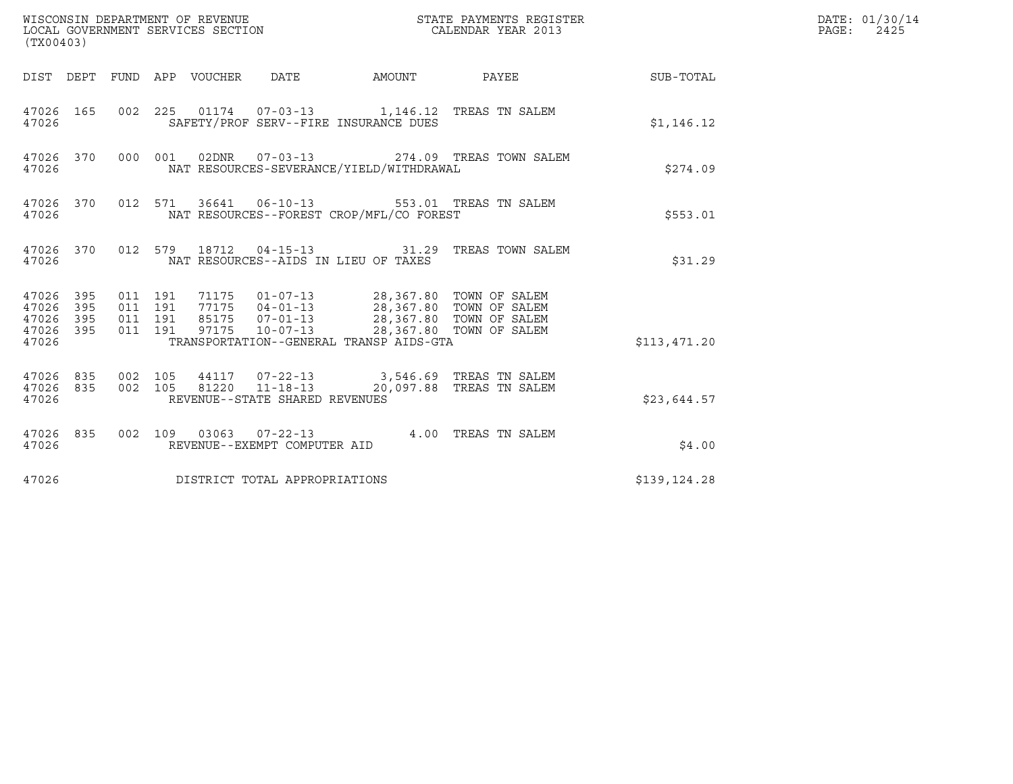| (TX00403)                                                       |                                                                                                                                                                                                                                                                      |        |                          |              | DATE: 01/30/14<br>$\mathtt{PAGE:}$<br>2425 |
|-----------------------------------------------------------------|----------------------------------------------------------------------------------------------------------------------------------------------------------------------------------------------------------------------------------------------------------------------|--------|--------------------------|--------------|--------------------------------------------|
|                                                                 | DIST DEPT FUND APP VOUCHER DATE                                                                                                                                                                                                                                      | AMOUNT | PAYEE                    | SUB-TOTAL    |                                            |
| 47026 165<br>47026                                              | 002 225 01174 07-03-13 1,146.12 TREAS TN SALEM<br>SAFETY/PROF SERV--FIRE INSURANCE DUES                                                                                                                                                                              |        |                          | \$1,146.12   |                                            |
| 47026 370<br>47026                                              | 000 001 02DNR 07-03-13<br>NAT RESOURCES-SEVERANCE/YIELD/WITHDRAWAL                                                                                                                                                                                                   |        | 274.09 TREAS TOWN SALEM  | \$274.09     |                                            |
| 47026 370<br>47026                                              | 012 571 36641 06-10-13 553.01 TREAS TN SALEM<br>NAT RESOURCES--FOREST CROP/MFL/CO FOREST                                                                                                                                                                             |        |                          | \$553.01     |                                            |
| 47026 370<br>47026                                              | 012 579 18712 04-15-13 31.29 TREAS TOWN SALEM<br>NAT RESOURCES--AIDS IN LIEU OF TAXES                                                                                                                                                                                |        |                          | \$31.29      |                                            |
| 47026 395<br>395<br>47026<br>395<br>47026<br>47026 395<br>47026 | 71175  01-07-13  28,367.80  TOWN OF SALEM<br>011 191<br>77175  04-01-13  28,367.80 TOWN OF SALEM<br>85175  07-01-13  28,367.80 TOWN OF SALEM<br>97175  10-07-13  28,367.80 TOWN OF SALEM<br>011 191<br>011 191<br>011 191<br>TRANSPORTATION--GENERAL TRANSP AIDS-GTA |        |                          | \$113,471.20 |                                            |
| 47026 835<br>47026 835<br>47026                                 | 002 105<br>44117 07-22-13 3,546.69 TREAS TN SALEM<br>002 105<br>81220 11-18-13<br>REVENUE--STATE SHARED REVENUES                                                                                                                                                     |        | 20,097.88 TREAS TN SALEM | \$23,644.57  |                                            |
| 47026 835<br>47026                                              | 002 109 03063 07-22-13 4.00 TREAS TN SALEM<br>REVENUE--EXEMPT COMPUTER AID                                                                                                                                                                                           |        |                          | \$4.00       |                                            |
| 47026                                                           | DISTRICT TOTAL APPROPRIATIONS                                                                                                                                                                                                                                        |        |                          | \$139,124.28 |                                            |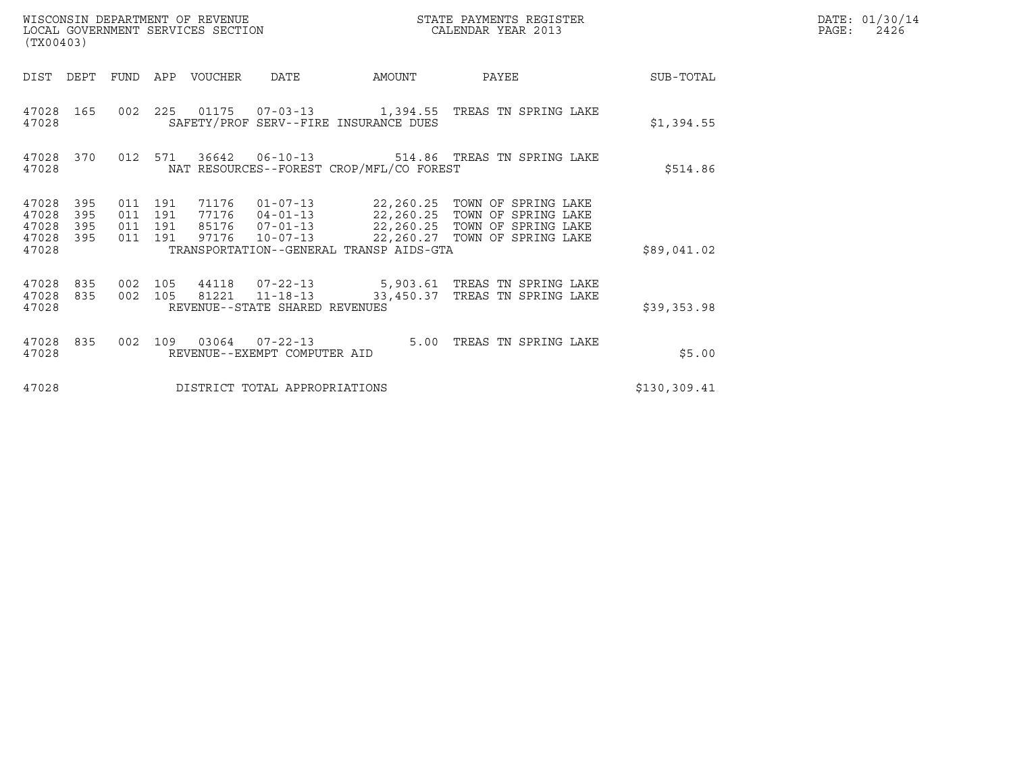| (TX00403)                                 |                          |                                          |                                 |                                                        |                                          |                                                                                                                                                                                                          | DATE: 01/30/14<br>$\mathtt{PAGE}$ :<br>2426 |  |
|-------------------------------------------|--------------------------|------------------------------------------|---------------------------------|--------------------------------------------------------|------------------------------------------|----------------------------------------------------------------------------------------------------------------------------------------------------------------------------------------------------------|---------------------------------------------|--|
|                                           |                          |                                          | DIST DEPT FUND APP VOUCHER DATE |                                                        | AMOUNT                                   | <b>PAYEE</b>                                                                                                                                                                                             | SUB-TOTAL                                   |  |
| 47028                                     |                          |                                          |                                 |                                                        | SAFETY/PROF SERV--FIRE INSURANCE DUES    | 47028 165 002 225 01175 07-03-13 1,394.55 TREAS TN SPRING LAKE                                                                                                                                           | \$1,394.55                                  |  |
| 47028                                     | 47028 370                |                                          |                                 |                                                        | NAT RESOURCES--FOREST CROP/MFL/CO FOREST | 012 571 36642 06-10-13 514.86 TREAS TN SPRING LAKE                                                                                                                                                       | \$514.86                                    |  |
| 47028<br>47028<br>47028<br>47028<br>47028 | 395<br>395<br>395<br>395 | 011 191<br>011 191<br>011 191<br>011 191 |                                 |                                                        | TRANSPORTATION--GENERAL TRANSP AIDS-GTA  | 71176  01-07-13  22,260.25  TOWN OF SPRING LAKE<br>77176  04-01-13  22,260.25  TOWN OF SPRING LAKE<br>85176  07-01-13  22,260.25  TOWN OF SPRING LAKE<br>97176  10-07-13  22,260.27  TOWN OF SPRING LAKE | \$89,041.02                                 |  |
| 47028<br>47028<br>47028                   | 835<br>835               | 002 105<br>002 105                       |                                 | REVENUE--STATE SHARED REVENUES                         |                                          | 44118  07-22-13  5,903.61 TREAS TN SPRING LAKE<br>81221  11-18-13  33,450.37  TREAS TN SPRING LAKE                                                                                                       | \$39,353.98                                 |  |
| 47028                                     | 47028 835                |                                          |                                 | 002 109 03064 07-22-13<br>REVENUE--EXEMPT COMPUTER AID |                                          | 5.00 TREAS TN SPRING LAKE                                                                                                                                                                                | \$5.00                                      |  |
| 47028                                     |                          |                                          |                                 | DISTRICT TOTAL APPROPRIATIONS                          |                                          |                                                                                                                                                                                                          | \$130, 309.41                               |  |

WISCONSIN DEPARTMENT OF REVENUE<br>LOCAL GOVERNMENT SERVICES SECTION STATE PAYMENTS REGISTER SECONDER STATE PASS: 2426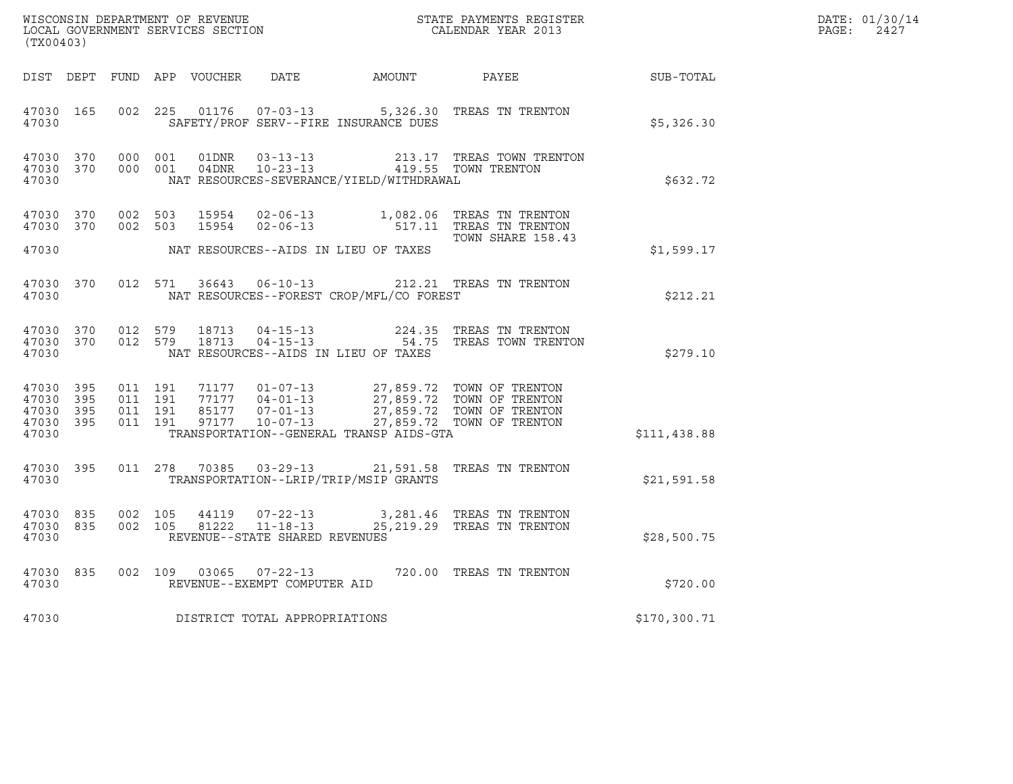| (TX00403)          |                                     |                    |                                |                                                |                                                                                                                                                                                                               |              | DATE: 01/30/14<br>$\mathtt{PAGE:}$<br>2427 |
|--------------------|-------------------------------------|--------------------|--------------------------------|------------------------------------------------|---------------------------------------------------------------------------------------------------------------------------------------------------------------------------------------------------------------|--------------|--------------------------------------------|
|                    |                                     |                    |                                |                                                | DIST DEPT FUND APP VOUCHER DATE AMOUNT PAYEE SUB-TOTAL                                                                                                                                                        |              |                                            |
| 47030              | 47030 165                           |                    |                                | SAFETY/PROF SERV--FIRE INSURANCE DUES          | 002 225 01176 07-03-13 5,326.30 TREAS TN TRENTON                                                                                                                                                              | \$5,326.30   |                                            |
| 47030              | 47030 370 000 001<br>47030 370      | 000 001            |                                | NAT RESOURCES-SEVERANCE/YIELD/WITHDRAWAL       |                                                                                                                                                                                                               | \$632.72     |                                            |
|                    |                                     |                    |                                | 47030 NAT RESOURCES--AIDS IN LIEU OF TAXES     | 47030 370 002 503 15954 02-06-13 1,082.06 TREAS TN TRENTON<br>47030 370 002 503 15954 02-06-13 517.11 TREAS TN TRENTON<br>TOWN SHARE 158.43<br>TOWN SHARE 158.43                                              | \$1,599.17   |                                            |
|                    |                                     |                    |                                | 47030 NAT RESOURCES--FOREST CROP/MFL/CO FOREST | 47030 370 012 571 36643 06-10-13 212.21 TREAS TN TRENTON                                                                                                                                                      | \$212.21     |                                            |
| 47030              |                                     |                    |                                | NAT RESOURCES--AIDS IN LIEU OF TAXES           | $\begin{array}{cccccc} 47030 & 370 & 012 & 579 & 18713 & 04-15-13 & & & & 224.35 & \text{TREAS TN TRENTON} \\ 47030 & 370 & 012 & 579 & 18713 & 04-15-13 & & & 54.75 & \text{TREAS TOWN TRENTON} \end{array}$ | \$279.10     |                                            |
| 47030 395<br>47030 | 47030 395<br>47030 395<br>47030 395 |                    |                                | TRANSPORTATION--GENERAL TRANSP AIDS-GTA        |                                                                                                                                                                                                               | \$111,438.88 |                                            |
|                    | 47030 395<br>47030                  |                    |                                | TRANSPORTATION--LRIP/TRIP/MSIP GRANTS          | 011  278  70385  03-29-13  21,591.58  TREAS TN TRENTON                                                                                                                                                        | \$21,591.58  |                                            |
| 47030 835<br>47030 | 47030 835                           | 002 105<br>002 105 | REVENUE--STATE SHARED REVENUES |                                                | $\begin{array}{lllllll} 44119 & 07-22-13 & & 3,281.46 & \text{TREAS TN TRENTON} \\ 81222 & 11-18-13 & & 25,219.29 & \text{TREAS TN TRENTON} \end{array}$                                                      | \$28,500.75  |                                            |
| 47030              | 47030 835                           |                    | REVENUE--EXEMPT COMPUTER AID   |                                                | 002 109 03065 07-22-13 720.00 TREAS TN TRENTON                                                                                                                                                                | \$720.00     |                                            |
| 47030              |                                     |                    | DISTRICT TOTAL APPROPRIATIONS  |                                                |                                                                                                                                                                                                               | \$170,300.71 |                                            |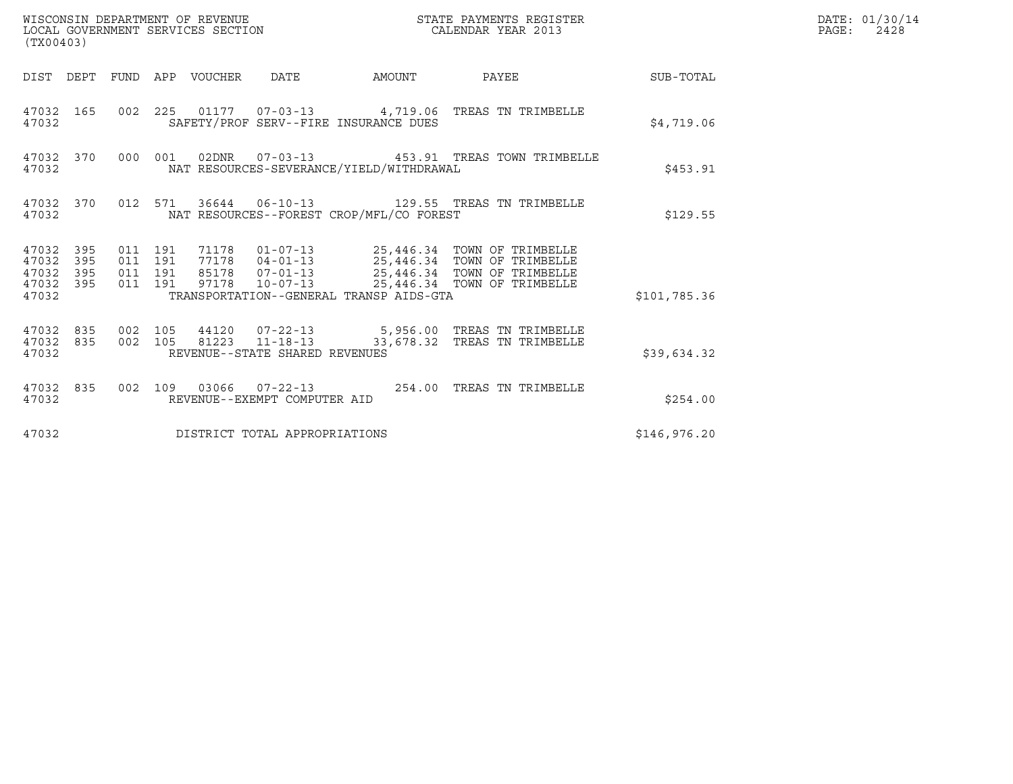| WISCONSIN DEPARTMENT OF REVENUE<br>LOCAL GOVERNMENT SERVICES SECTION<br>(TX00403) |  |                               |         |                                 |                                |                                          | STATE PAYMENTS REGISTER<br>CALENDAR YEAR 2013                                                                                                                                                                       |              | DATE: 01/30/14<br>PAGE:<br>2428 |
|-----------------------------------------------------------------------------------|--|-------------------------------|---------|---------------------------------|--------------------------------|------------------------------------------|---------------------------------------------------------------------------------------------------------------------------------------------------------------------------------------------------------------------|--------------|---------------------------------|
|                                                                                   |  |                               |         | DIST DEPT FUND APP VOUCHER DATE |                                |                                          | AMOUNT PAYEE SUB-TOTAL                                                                                                                                                                                              |              |                                 |
| 47032 165<br>47032                                                                |  |                               |         |                                 |                                | SAFETY/PROF SERV--FIRE INSURANCE DUES    | 002 225 01177 07-03-13 4,719.06 TREAS TN TRIMBELLE                                                                                                                                                                  | \$4,719.06   |                                 |
| 47032 370<br>47032                                                                |  |                               |         |                                 |                                | NAT RESOURCES-SEVERANCE/YIELD/WITHDRAWAL | 000 001 02DNR 07-03-13 453.91 TREAS TOWN TRIMBELLE                                                                                                                                                                  | \$453.91     |                                 |
| 47032                                                                             |  |                               |         |                                 |                                | NAT RESOURCES--FOREST CROP/MFL/CO FOREST | 47032 370 012 571 36644 06-10-13 129.55 TREAS TN TRIMBELLE                                                                                                                                                          | \$129.55     |                                 |
| 47032 395<br>47032 395<br>47032 395<br>47032 395<br>47032                         |  | 011 191<br>011 191<br>011 191 | 011 191 |                                 |                                | TRANSPORTATION--GENERAL TRANSP AIDS-GTA  | 71178   01-07-13   25,446.34   TOWN OF TRIMBELLE<br>77178   04-01-13   25,446.34   TOWN OF TRIMBELLE<br>85178   07-01-13   25,446.34   TOWN OF TRIMBELLE<br>97178  10-07-13  25,446.34  TOWN OF TRIMBELLE           | \$101,785.36 |                                 |
| 47032                                                                             |  |                               |         |                                 | REVENUE--STATE SHARED REVENUES |                                          | $\begin{array}{cccccc} 47032 & 835 & 002 & 105 & 44120 & 07-22-13 & & & 5,956.00 & \text{TREAS TN TRIMBELLE} \\ 47032 & 835 & 002 & 105 & 81223 & 11-18-13 & & & 33,678.32 & \text{TREAS TN TRIMBELLE} \end{array}$ | \$39,634.32  |                                 |
| 47032                                                                             |  |                               |         |                                 | REVENUE--EXEMPT COMPUTER AID   |                                          | 47032 835 002 109 03066 07-22-13 254.00 TREAS TN TRIMBELLE                                                                                                                                                          | \$254.00     |                                 |
| 47032                                                                             |  |                               |         |                                 | DISTRICT TOTAL APPROPRIATIONS  |                                          |                                                                                                                                                                                                                     | \$146,976.20 |                                 |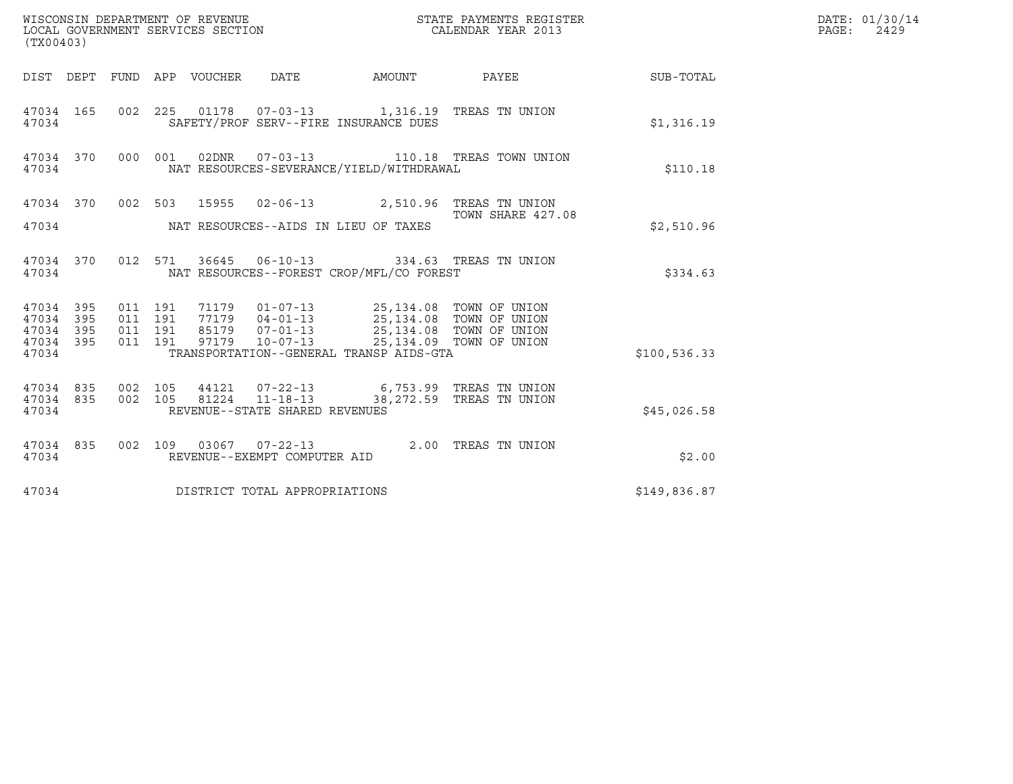| (TX00403)                                                 | WISCONSIN DEPARTMENT OF REVENUE<br>LOCAL GOVERNMENT SERVICES SECTION                                                                                                                                                                                           | STATE PAYMENTS REGISTER<br>CALENDAR YEAR 2013       |               | DATE: 01/30/14<br>PAGE:<br>2429 |
|-----------------------------------------------------------|----------------------------------------------------------------------------------------------------------------------------------------------------------------------------------------------------------------------------------------------------------------|-----------------------------------------------------|---------------|---------------------------------|
|                                                           | DIST DEPT FUND APP VOUCHER DATE<br>AMOUNT                                                                                                                                                                                                                      | PAYEE SUB-TOTAL                                     |               |                                 |
| 47034 165<br>47034                                        | 002 225 01178 07-03-13 1,316.19 TREAS TN UNION<br>SAFETY/PROF SERV--FIRE INSURANCE DUES                                                                                                                                                                        |                                                     | \$1,316.19    |                                 |
| 47034 370<br>47034                                        | 02DNR  07-03-13   110.18   TREAS TOWN UNION<br>000 001<br>NAT RESOURCES-SEVERANCE/YIELD/WITHDRAWAL                                                                                                                                                             |                                                     | \$110.18      |                                 |
| 47034 370<br>47034                                        | 002 503 15955 02-06-13 2,510.96 TREAS TN UNION<br>NAT RESOURCES--AIDS IN LIEU OF TAXES                                                                                                                                                                         | TOWN SHARE 427.08                                   | \$2,510.96    |                                 |
| 47034 370<br>47034                                        | 012 571 36645 06-10-13 334.63 TREAS TN UNION<br>NAT RESOURCES--FOREST CROP/MFL/CO FOREST                                                                                                                                                                       |                                                     | \$334.63      |                                 |
| 47034 395<br>47034 395<br>47034 395<br>47034 395<br>47034 | 011 191<br>71179   01-07-13   25,134.08   TOWN OF UNION<br>77179   04-01-13   25,134.08   TOWN OF UNION<br>85179   07-01-13   25,134.08   TOWN OF UNION<br>011 191<br>011 191<br>011 191<br>97179<br>$10 - 07 - 13$<br>TRANSPORTATION--GENERAL TRANSP AIDS-GTA | 25,134.09 TOWN OF UNION                             | \$100, 536.33 |                                 |
| 47034 835<br>47034 835<br>47034                           | 002 105<br>44121  07-22-13<br>002 105<br>81224 11-18-13<br>REVENUE--STATE SHARED REVENUES                                                                                                                                                                      | 6,753.99 TREAS TN UNION<br>38,272.59 TREAS TN UNION | \$45,026.58   |                                 |
| 47034 835<br>47034                                        | 002 109 03067 07-22-13<br>REVENUE--EXEMPT COMPUTER AID                                                                                                                                                                                                         | 2.00 TREAS TN UNION                                 | \$2.00        |                                 |
| 47034                                                     | DISTRICT TOTAL APPROPRIATIONS                                                                                                                                                                                                                                  |                                                     | \$149,836.87  |                                 |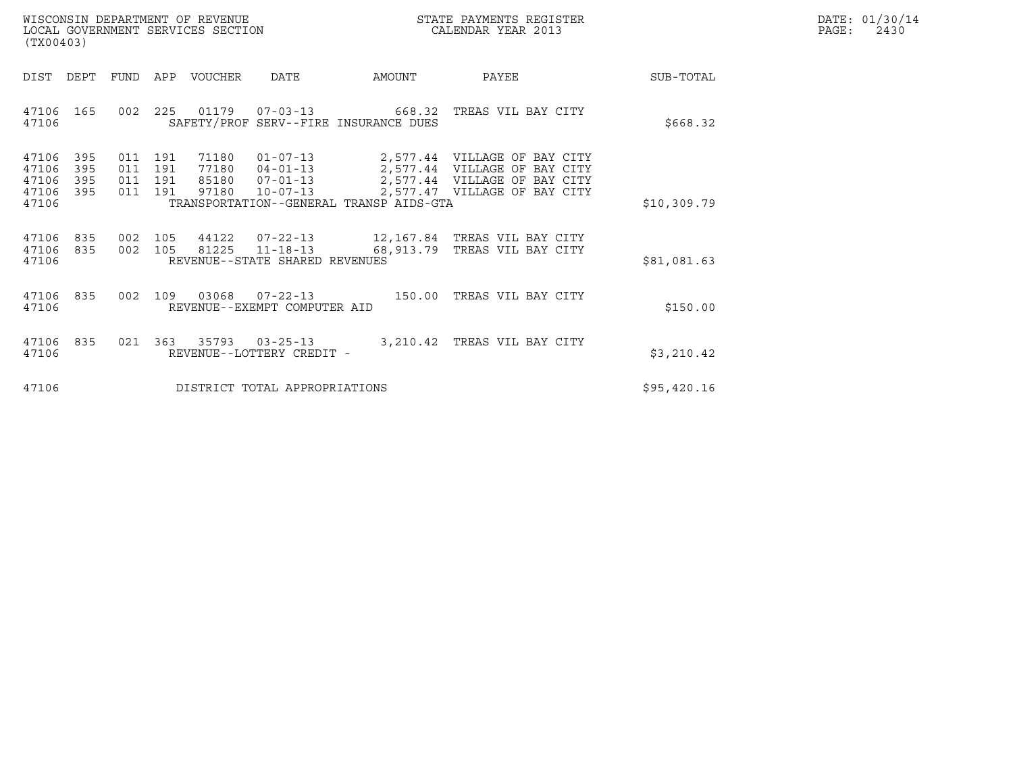| WISCONSIN DEPARTMENT OF REVENUE   | STATE PAYMENTS REGISTER | DATE: 01/30/14 |
|-----------------------------------|-------------------------|----------------|
| LOCAL GOVERNMENT SERVICES SECTION | CALENDAR YEAR 2013      | PAGE:<br>2430  |

| WISCONSIN DEPARTMENT OF REVENUE<br>LOCAL GOVERNMENT SERVICES SECTION<br>(TX00403) |     |                                      |                                  |                                                                      |                                         | STATE PAYMENTS REGISTER<br>CALENDAR YEAR 2013                                                                                |             | DATE: 01/30/14<br>$\mathtt{PAGE}$ :<br>2430 |
|-----------------------------------------------------------------------------------|-----|--------------------------------------|----------------------------------|----------------------------------------------------------------------|-----------------------------------------|------------------------------------------------------------------------------------------------------------------------------|-------------|---------------------------------------------|
| DIST<br>DEPT                                                                      |     |                                      | FUND APP VOUCHER                 | DATE                                                                 | AMOUNT                                  | PAYEE                                                                                                                        | SUB-TOTAL   |                                             |
| 47106 165<br>47106                                                                |     |                                      |                                  |                                                                      | SAFETY/PROF SERV--FIRE INSURANCE DUES   | 002  225  01179  07-03-13  668.32  TREAS VIL BAY CITY                                                                        | \$668.32    |                                             |
| 47106<br>395<br>47106<br>395<br>47106<br>395<br>47106<br>395<br>47106             | 011 | 011 191<br>191<br>011 191<br>011 191 | 71180<br>77180<br>85180<br>97180 | $01 - 07 - 13$<br>$04 - 01 - 13$<br>$07 - 01 - 13$<br>$10 - 07 - 13$ | TRANSPORTATION--GENERAL TRANSP AIDS-GTA | 2,577.44 VILLAGE OF BAY CITY<br>2,577.44 VILLAGE OF BAY CITY<br>2,577.44 VILLAGE OF BAY CITY<br>2,577.47 VILLAGE OF BAY CITY | \$10,309.79 |                                             |
| 835<br>47106<br>47106 835<br>47106                                                |     |                                      |                                  | 002 105 81225 11-18-13<br>REVENUE--STATE SHARED REVENUES             |                                         | 002 105 44122 07-22-13 12,167.84 TREAS VIL BAY CITY<br>68,913.79 TREAS VIL BAY CITY                                          | \$81,081.63 |                                             |
| 47106 835<br>47106                                                                |     |                                      |                                  | REVENUE--EXEMPT COMPUTER AID                                         |                                         | 002 109 03068 07-22-13 150.00 TREAS VIL BAY CITY                                                                             | \$150.00    |                                             |
| 47106 835<br>47106                                                                |     |                                      | 021 363 35793 03-25-13           | REVENUE--LOTTERY CREDIT -                                            |                                         | 3,210.42 TREAS VIL BAY CITY                                                                                                  | \$3,210.42  |                                             |
| 47106                                                                             |     |                                      |                                  | DISTRICT TOTAL APPROPRIATIONS                                        |                                         |                                                                                                                              | \$95,420.16 |                                             |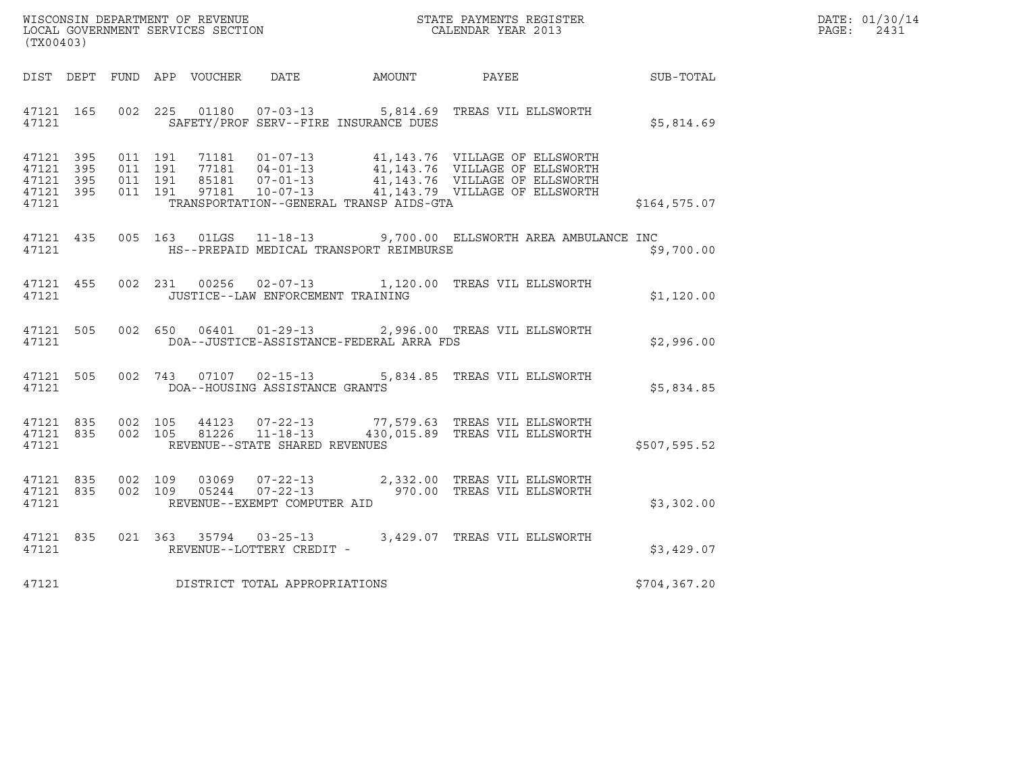| WISCONSIN DEPARTMENT OF REVENUE   | STATE PAYMENTS REGISTER | DATE: 01/30/14 |
|-----------------------------------|-------------------------|----------------|
| LOCAL GOVERNMENT SERVICES SECTION | CALENDAR YEAR 2013      | PAGE:<br>2431  |

|                                                           | WISCONSIN DEPARTMENT OF REVENUE<br>LOCAL GOVERNMENT SERVICES SECTION FOR THE STATE PAYMENTS REGISTER<br>(TX00403) |  |  |  |                                      |                                                                   |                                                                                                                                                                                                                                                                                            | $\mathbb{E} \mathbf{R}$ | DATE: 01/30/14<br>PAGE:<br>2431 |
|-----------------------------------------------------------|-------------------------------------------------------------------------------------------------------------------|--|--|--|--------------------------------------|-------------------------------------------------------------------|--------------------------------------------------------------------------------------------------------------------------------------------------------------------------------------------------------------------------------------------------------------------------------------------|-------------------------|---------------------------------|
|                                                           |                                                                                                                   |  |  |  |                                      |                                                                   | DIST DEPT FUND APP VOUCHER DATE AMOUNT PAYEE SUB-TOTAL                                                                                                                                                                                                                                     |                         |                                 |
|                                                           |                                                                                                                   |  |  |  |                                      | 47121 - SAFETY/PROF SERV--FIRE INSURANCE DUES                     | 47121 165 002 225 01180 07-03-13 5,814.69 TREAS VIL ELLSWORTH                                                                                                                                                                                                                              | \$5,814.69              |                                 |
| 47121 395<br>47121 395<br>47121 395<br>47121 395<br>47121 |                                                                                                                   |  |  |  |                                      |                                                                   | 011 191 71181 01-07-13 41,143.76 VILLAGE OF ELLSWORTH<br>011 191 77181 04-01-13 41,143.76 VILLAGE OF ELLSWORTH<br>011 191 85181 07-01-13 41,143.76 VILLAGE OF ELLSWORTH<br>011 191 97181 10-07-13 41,143.79 VILLAGE OF ELLSWORTH<br>TRANSPORTATION--GENERAL TRANSP AIDS-GTA THE RESOLUTION | \$164,575.07            |                                 |
|                                                           |                                                                                                                   |  |  |  |                                      | 47121 HS--PREPAID MEDICAL TRANSPORT REIMBURSE                     | 47121 435 005 163 01LGS 11-18-13 9,700.00 ELLSWORTH AREA AMBULANCE INC                                                                                                                                                                                                                     | \$9,700.00              |                                 |
|                                                           |                                                                                                                   |  |  |  |                                      | 47121 JUSTICE--LAW ENFORCEMENT TRAINING                           | 47121 455 002 231 00256 02-07-13 1,120.00 TREAS VIL ELLSWORTH                                                                                                                                                                                                                              | \$1,120.00              |                                 |
|                                                           |                                                                                                                   |  |  |  |                                      | 47121                    DOA--JUSTICE-ASSISTANCE-FEDERAL ARRA FDS | 47121 505 002 650 06401 01-29-13 2,996.00 TREAS VIL ELLSWORTH                                                                                                                                                                                                                              | \$2,996.00              |                                 |
| 47121 505<br>47121                                        |                                                                                                                   |  |  |  |                                      | DOA--HOUSING ASSISTANCE GRANTS                                    | 002 743 07107 02-15-13 5,834.85 TREAS VIL ELLSWORTH                                                                                                                                                                                                                                        | \$5,834.85              |                                 |
|                                                           |                                                                                                                   |  |  |  | 47121 REVENUE--STATE SHARED REVENUES |                                                                   | $\begin{array}{cccccccc} 4\,7121 & 835 & 002 & 105 & 44123 & 07-22-13 & & & 77,579.63 & \text{TREAS VIL ELLSWORTH} \\ 4\,7121 & 835 & 002 & 105 & 81226 & 11-18-13 & & & 430,015.89 & \text{TREAS VIL ELLSWORTH} \end{array}$                                                              | \$507,595.52            |                                 |
| 47121 835<br>47121 835<br>47121                           |                                                                                                                   |  |  |  | REVENUE--EXEMPT COMPUTER AID         |                                                                   | 002 109 03069 07-22-13 2,332.00 TREAS VIL ELLSWORTH<br>002 109 05244 07-22-13 970.00 TREAS VIL ELLSWORTH                                                                                                                                                                                   | \$3,302.00              |                                 |
|                                                           |                                                                                                                   |  |  |  |                                      |                                                                   | $\begin{tabular}{llllll} 47121 & 835 & 021 & 363 & 35794 & 03-25-13 & 3,429.07 & TREAS VIL ELLSWORTH \\ 47121 & & REVENUE--LOTTERY CREDIT - \end{tabular}$                                                                                                                                 | \$3,429.07              |                                 |
|                                                           |                                                                                                                   |  |  |  | 47121 DISTRICT TOTAL APPROPRIATIONS  |                                                                   |                                                                                                                                                                                                                                                                                            | \$704,367.20            |                                 |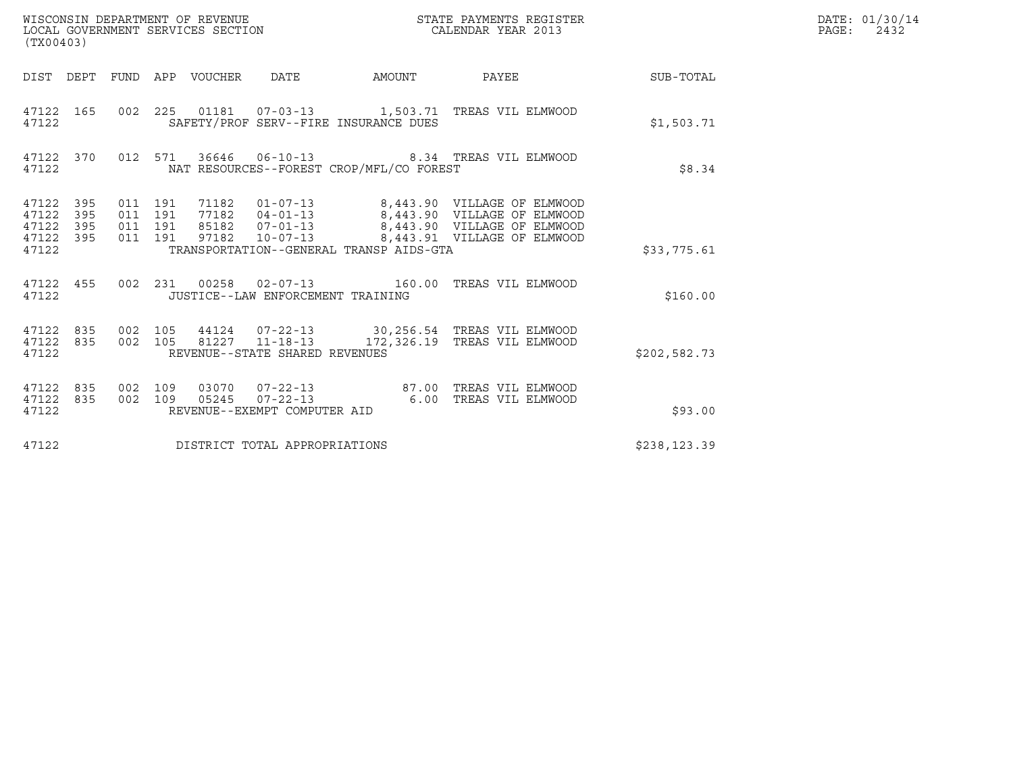| (TX00403)                                                       |                                          |                                 |                                   |                                          | STATE PAYMENTS REGISTER                                                                                                                                                                          |              | DATE: 01/30/14<br>$\mathtt{PAGE:}$<br>2432 |
|-----------------------------------------------------------------|------------------------------------------|---------------------------------|-----------------------------------|------------------------------------------|--------------------------------------------------------------------------------------------------------------------------------------------------------------------------------------------------|--------------|--------------------------------------------|
|                                                                 |                                          | DIST DEPT FUND APP VOUCHER DATE |                                   |                                          | AMOUNT PAYEE SUB-TOTAL                                                                                                                                                                           |              |                                            |
| 47122 165<br>47122                                              |                                          |                                 |                                   | SAFETY/PROF SERV--FIRE INSURANCE DUES    | 002  225  01181  07-03-13   1,503.71  TREAS VIL ELMWOOD                                                                                                                                          | \$1,503.71   |                                            |
| 47122 370<br>47122                                              |                                          |                                 |                                   | NAT RESOURCES--FOREST CROP/MFL/CO FOREST | 012 571 36646 06-10-13 8.34 TREAS VIL ELMWOOD                                                                                                                                                    | \$8.34       |                                            |
| 47122 395<br>47122<br>395<br>47122<br>395<br>47122 395<br>47122 | 011 191<br>011 191<br>011 191<br>011 191 |                                 |                                   | TRANSPORTATION--GENERAL TRANSP AIDS-GTA  | 71182  01-07-13  8,443.90  VILLAGE OF ELMWOOD<br>77182  04-01-13  8,443.90  VILLAGE OF ELMWOOD<br>85182  07-01-13  8,443.90  VILLAGE OF ELMWOOD<br>97182  10-07-13  8,443.91  VILLAGE OF ELMWOOD | \$33,775.61  |                                            |
| 47122                                                           |                                          |                                 | JUSTICE--LAW ENFORCEMENT TRAINING |                                          | 47122 455 002 231 00258 02-07-13 160.00 TREAS VIL ELMWOOD                                                                                                                                        | \$160.00     |                                            |
| 47122 835<br>47122 835<br>47122                                 | 002 105                                  |                                 | REVENUE--STATE SHARED REVENUES    |                                          | 002 105 44124 07-22-13 30,256.54 TREAS VIL ELMWOOD<br>81227  11-18-13  172,326.19  TREAS VIL ELMWOOD                                                                                             | \$202,582.73 |                                            |
| 47122 835<br>47122 835<br>47122                                 | 002 109<br>002 109                       |                                 | REVENUE--EXEMPT COMPUTER AID      |                                          | 03070  07-22-13  87.00 TREAS VIL ELMWOOD<br>05245  07-22-13   6.00   TREAS VIL ELMWOOD                                                                                                           | \$93.00      |                                            |
| 47122                                                           |                                          | DISTRICT TOTAL APPROPRIATIONS   |                                   |                                          |                                                                                                                                                                                                  | \$238,123.39 |                                            |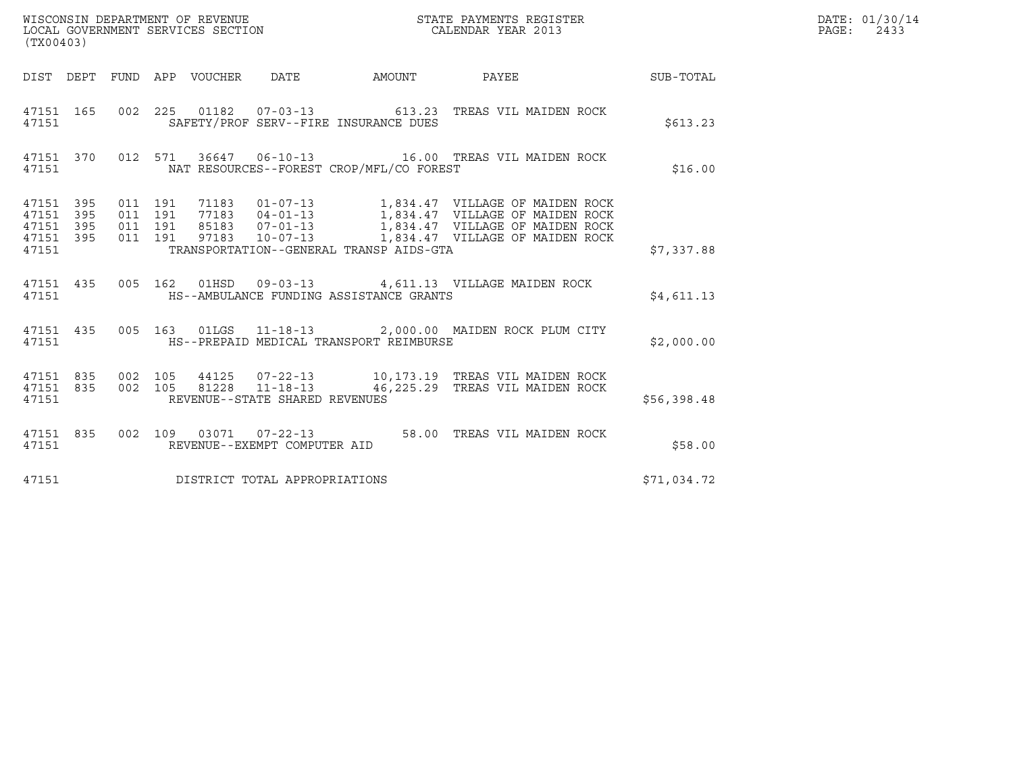| (TX00403)                                                 |                                          |  |                                |                                          |                                                                      |             | DATE: 01/30/14<br>PAGE: 2433 |
|-----------------------------------------------------------|------------------------------------------|--|--------------------------------|------------------------------------------|----------------------------------------------------------------------|-------------|------------------------------|
|                                                           |                                          |  |                                |                                          | DIST DEPT FUND APP VOUCHER DATE AMOUNT PAYEE SUB-TOTAL               |             |                              |
| 47151                                                     |                                          |  |                                | SAFETY/PROF SERV--FIRE INSURANCE DUES    | 47151 165 002 225 01182 07-03-13 613.23 TREAS VIL MAIDEN ROCK        | \$613.23    |                              |
| 47151                                                     |                                          |  |                                | NAT RESOURCES--FOREST CROP/MFL/CO FOREST | 47151 370 012 571 36647 06-10-13 16.00 TREAS VIL MAIDEN ROCK         | \$16.00     |                              |
| 47151 395<br>47151 395<br>47151 395<br>47151 395<br>47151 | 011 191<br>011 191<br>011 191<br>011 191 |  |                                | TRANSPORTATION--GENERAL TRANSP AIDS-GTA  |                                                                      | \$7,337.88  |                              |
|                                                           |                                          |  |                                |                                          | 47151 435 005 162 01HSD 09-03-13 4,611.13 VILLAGE MAIDEN ROCK        | \$4,611.13  |                              |
| 47151                                                     |                                          |  |                                | HS--PREPAID MEDICAL TRANSPORT REIMBURSE  | 47151 435 005 163 01LGS 11-18-13 2,000.00 MAIDEN ROCK PLUM CITY      | \$2,000.00  |                              |
| 47151 835<br>47151 835<br>47151                           | 002 105<br>002 105                       |  | REVENUE--STATE SHARED REVENUES |                                          |                                                                      | \$56,398.48 |                              |
| 47151                                                     |                                          |  | REVENUE--EXEMPT COMPUTER AID   |                                          | $47151$ 835 002 109 03071 07-22-13 58.00 TREAS VIL MAIDEN ROCK 47151 | \$58.00     |                              |
| 47151                                                     |                                          |  | DISTRICT TOTAL APPROPRIATIONS  |                                          |                                                                      | \$71,034.72 |                              |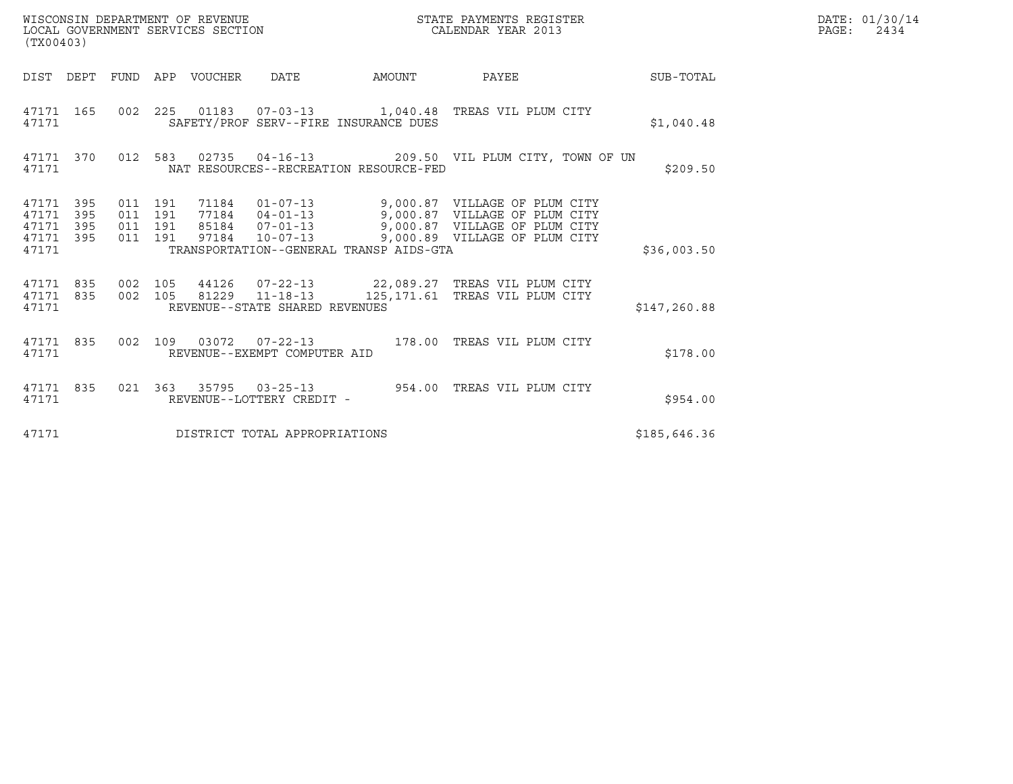| WISCONSIN DEPARTMENT OF REVENUE<br>LOCAL GOVERNMENT SERVICES SECTION<br>(TX00403) |            |                                          |  |                                 |                                | STATE PAYMENTS REGISTER<br>CALENDAR YEAR 2013 |                                                                                                                                                                                                          |              | DATE: 01/30/14<br>PAGE:<br>2434 |
|-----------------------------------------------------------------------------------|------------|------------------------------------------|--|---------------------------------|--------------------------------|-----------------------------------------------|----------------------------------------------------------------------------------------------------------------------------------------------------------------------------------------------------------|--------------|---------------------------------|
|                                                                                   |            |                                          |  | DIST DEPT FUND APP VOUCHER DATE |                                |                                               | AMOUNT PAYEE SUB-TOTAL                                                                                                                                                                                   |              |                                 |
| 47171 165<br>47171                                                                |            |                                          |  |                                 |                                | SAFETY/PROF SERV--FIRE INSURANCE DUES         | 002 225 01183 07-03-13 1,040.48 TREAS VIL PLUM CITY                                                                                                                                                      | \$1,040.48   |                                 |
| 47171 370<br>47171                                                                |            |                                          |  |                                 |                                | NAT RESOURCES--RECREATION RESOURCE-FED        | 012 583 02735 04-16-13 209.50 VIL PLUM CITY, TOWN OF UN                                                                                                                                                  | \$209.50     |                                 |
| 47171 395<br>47171<br>47171<br>47171 395<br>47171                                 | 395<br>395 | 011 191<br>011 191<br>011 191<br>011 191 |  |                                 |                                | TRANSPORTATION--GENERAL TRANSP AIDS-GTA       | 71184  01-07-13  9,000.87  VILLAGE OF PLUM CITY<br>77184  04-01-13  9,000.87  VILLAGE OF PLUM CITY<br>85184  07-01-13  9,000.87  VILLAGE OF PLUM CITY<br>97184  10-07-13  9,000.89  VILLAGE OF PLUM CITY | \$36,003.50  |                                 |
| 47171 835<br>47171 835<br>47171                                                   |            | 002 105<br>002 105                       |  |                                 | REVENUE--STATE SHARED REVENUES |                                               | 44126  07-22-13  22,089.27  TREAS VIL PLUM CITY<br>81229  11-18-13  125, 171.61  TREAS VIL PLUM CITY                                                                                                     | \$147,260.88 |                                 |
| 47171 835<br>47171                                                                |            |                                          |  |                                 | REVENUE--EXEMPT COMPUTER AID   |                                               | 002 109 03072 07-22-13 178.00 TREAS VIL PLUM CITY                                                                                                                                                        | \$178.00     |                                 |
| 47171 835<br>47171                                                                |            |                                          |  |                                 | REVENUE--LOTTERY CREDIT -      |                                               | 021 363 35795 03-25-13 954.00 TREAS VIL PLUM CITY                                                                                                                                                        | \$954.00     |                                 |
| 47171                                                                             |            |                                          |  |                                 | DISTRICT TOTAL APPROPRIATIONS  |                                               |                                                                                                                                                                                                          | \$185,646.36 |                                 |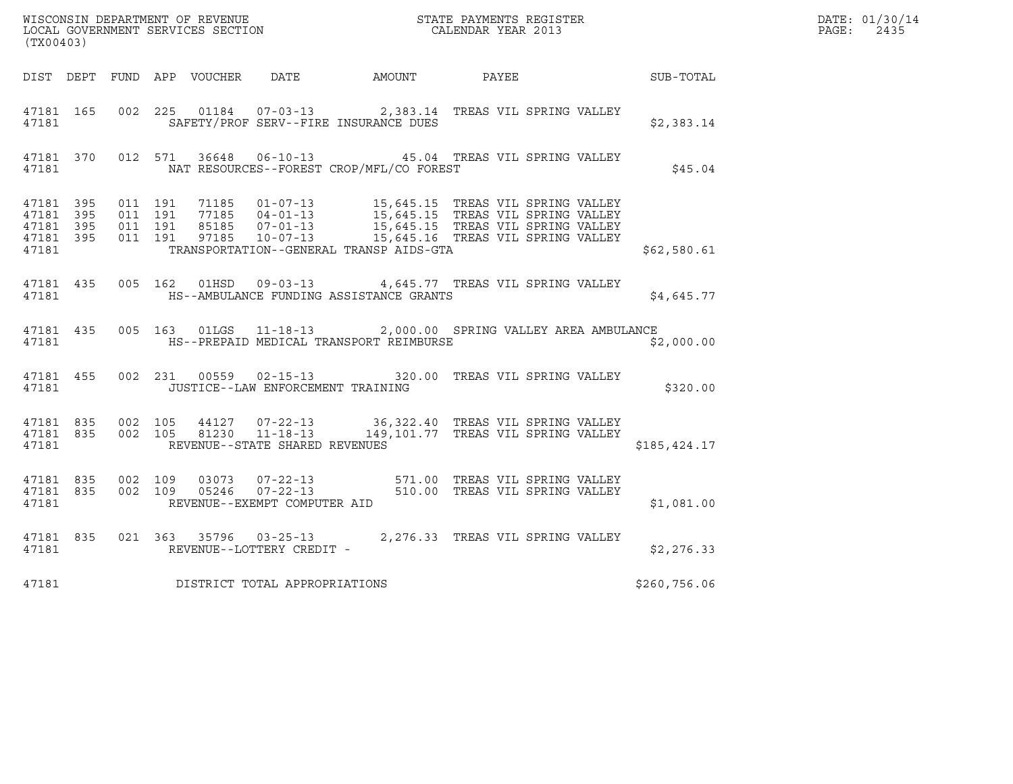| WISCONSIN DEPARTMENT OF REVENUE<br>LOCAL GOVERNMENT SERVICES SECTION TERMS OF CALENDAR YEAR 2013<br>(TX00403) |  |       |  |  |                                |                                               |                                                                                                                                                                                                                                                               |  |              | DATE: 01/30/14<br>PAGE: 2435 |
|---------------------------------------------------------------------------------------------------------------|--|-------|--|--|--------------------------------|-----------------------------------------------|---------------------------------------------------------------------------------------------------------------------------------------------------------------------------------------------------------------------------------------------------------------|--|--------------|------------------------------|
|                                                                                                               |  |       |  |  |                                |                                               | DIST DEPT FUND APP VOUCHER DATE AMOUNT PAYEE PATE SUB-TOTAL                                                                                                                                                                                                   |  |              |                              |
| 47181 165                                                                                                     |  |       |  |  |                                | 47181 SAFETY/PROF SERV--FIRE INSURANCE DUES   | 002 225 01184 07-03-13 2,383.14 TREAS VIL SPRING VALLEY                                                                                                                                                                                                       |  | \$2,383.14   |                              |
|                                                                                                               |  | 47181 |  |  |                                | NAT RESOURCES--FOREST CROP/MFL/CO FOREST      | 47181 370 012 571 36648 06-10-13 45.04 TREAS VIL SPRING VALLEY                                                                                                                                                                                                |  | \$45.04      |                              |
| 47181                                                                                                         |  |       |  |  |                                | TRANSPORTATION--GENERAL TRANSP AIDS-GTA       | 47181 395 011 191 71185 01-07-13 15,645.15 TREAS VIL SPRING VALLEY<br>47181 395 011 191 77185 04-01-13 15,645.15 TREAS VIL SPRING VALLEY<br>47181 395 011 191 85185 07-01-13 15,645.15 TREAS VIL SPRING VALLEY<br>47181 395 011 191 971                       |  | \$62,580.61  |                              |
|                                                                                                               |  |       |  |  |                                | 47181 HS--AMBULANCE FUNDING ASSISTANCE GRANTS | 47181 435 005 162 01HSD 09-03-13 4,645.77 TREAS VIL SPRING VALLEY                                                                                                                                                                                             |  | \$4,645.77   |                              |
|                                                                                                               |  |       |  |  |                                |                                               | 47181 435 005 163 01LGS 11-18-13 2,000.00 SPRING VALLEY AREA AMBULANCE                                                                                                                                                                                        |  | \$2,000.00   |                              |
|                                                                                                               |  |       |  |  |                                | 47181 JUSTICE--LAW ENFORCEMENT TRAINING       | 47181 455 002 231 00559 02-15-13 320.00 TREAS VIL SPRING VALLEY                                                                                                                                                                                               |  | \$320.00     |                              |
| 47181                                                                                                         |  |       |  |  | REVENUE--STATE SHARED REVENUES |                                               | $\begin{array}{cccc} 47181 & 835 & 002 & 105 & 44127 & 07-22-13 & 36,322.40 & \text{TREAS VII SPRING VALLEY} \\ 47181 & 835 & 002 & 105 & 81230 & 11-18-13 & 149,101.77 & \text{TREAS VII SPRING VALLEY} \end{array}$                                         |  | \$185,424.17 |                              |
|                                                                                                               |  |       |  |  |                                |                                               | $\begin{tabular}{lllllllllll} 47181 & 835 & 002 & 109 & 03073 & 07-22-13 & 571.00 TREAS VIL SPRING VALLEY \\ 47181 & 835 & 002 & 109 & 05246 & 07-22-13 & 510.00 TREAS VIL SPRING VALLEY \\ 47181 & REVENUE--EXEMPT COMPUTER AID & & & & & & & \end{tabular}$ |  | \$1,081.00   |                              |
|                                                                                                               |  | 47181 |  |  | REVENUE--LOTTERY CREDIT -      |                                               | 47181 835 021 363 35796 03-25-13 2,276.33 TREAS VIL SPRING VALLEY                                                                                                                                                                                             |  | \$2,276.33   |                              |
| 47181                                                                                                         |  |       |  |  | DISTRICT TOTAL APPROPRIATIONS  |                                               |                                                                                                                                                                                                                                                               |  | \$260,756.06 |                              |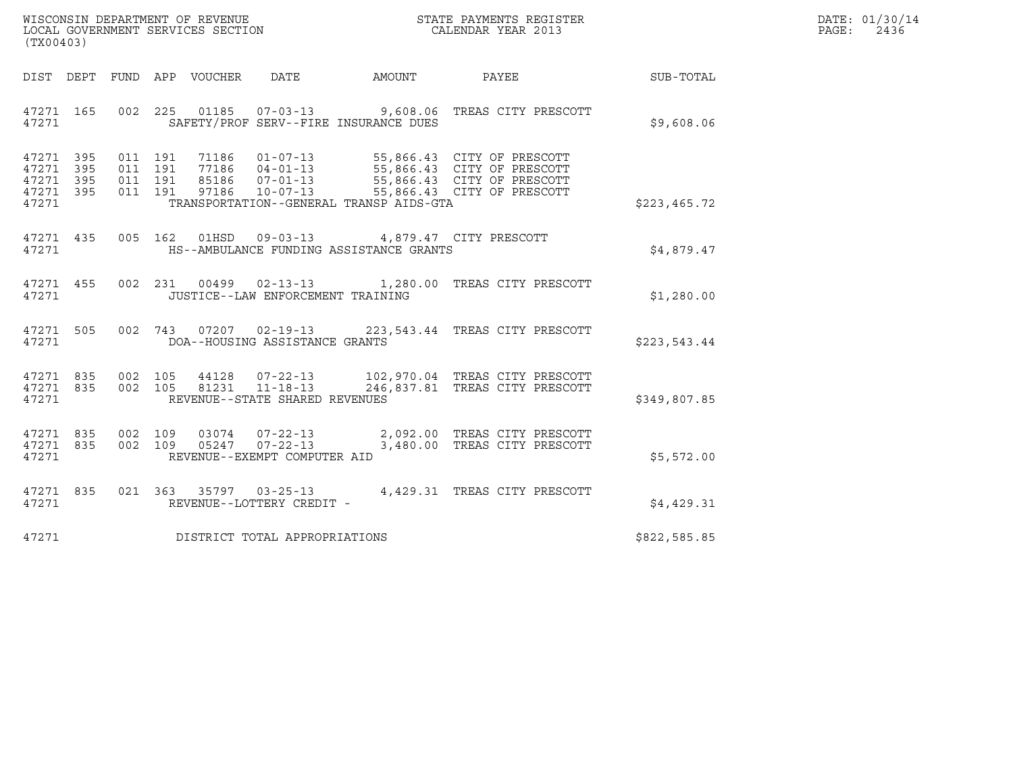| WISCONSIN DEPARTMENT OF REVENUE<br>LOCAL GOVERNMENT SERVICES SECTION<br>(TX00403) | STATE PAYMENTS REGISTER<br>CALENDAR YEAR 2013 | DATE: 01/30/14<br>PAGE:<br>2436 |
|-----------------------------------------------------------------------------------|-----------------------------------------------|---------------------------------|

| (TX00403)                                                                     |                                                                                                                                                                            |        |                                                                                                                      |              |
|-------------------------------------------------------------------------------|----------------------------------------------------------------------------------------------------------------------------------------------------------------------------|--------|----------------------------------------------------------------------------------------------------------------------|--------------|
| DIST DEPT<br>FUND                                                             | APP VOUCHER<br>DATE                                                                                                                                                        | AMOUNT | PAYEE                                                                                                                | SUB-TOTAL    |
| 002<br>47271 165<br>47271                                                     | 225<br>SAFETY/PROF SERV--FIRE INSURANCE DUES                                                                                                                               |        |                                                                                                                      | \$9,608.06   |
| 47271 395<br>47271<br>395<br>011<br>47271<br>395<br>011<br>47271 395<br>47271 | 011 191<br>71186   01-07-13<br>191<br>77186  04-01-13<br>191<br>85186       07-01-13<br>97186      10-07-13<br>97186<br>011 191<br>TRANSPORTATION--GENERAL TRANSP AIDS-GTA |        | 55,866.43 CITY OF PRESCOTT<br>55,866.43 CITY OF PRESCOTT<br>55,866.43 CITY OF PRESCOTT<br>55,866.43 CITY OF PRESCOTT | \$223,465.72 |
| 47271 435<br>47271                                                            | 005 162<br>01HSD  09-03-13  4,879.47  CITY PRESCOTT<br>HS--AMBULANCE FUNDING ASSISTANCE GRANTS                                                                             |        |                                                                                                                      | \$4,879.47   |
| 47271 455<br>47271                                                            | 002 231 00499 02-13-13 1,280.00 TREAS CITY PRESCOTT<br>JUSTICE--LAW ENFORCEMENT TRAINING                                                                                   |        |                                                                                                                      | \$1,280.00   |
| 505<br>002<br>47271<br>47271                                                  | 07207  02-19-13  223, 543.44  TREAS CITY PRESCOTT<br>743<br>DOA--HOUSING ASSISTANCE GRANTS                                                                                 |        |                                                                                                                      | \$223,543.44 |
| 47271 835<br>002<br>002<br>47271 835<br>47271                                 | 44128   07-22-13   102,970.04 TREAS CITY PRESCOTT<br>81231   11-18-13   246,837.81 TREAS CITY PRESCOTT<br>105<br>105<br>REVENUE--STATE SHARED REVENUES                     |        | 246,837.81 TREAS CITY PRESCOTT                                                                                       | \$349,807.85 |
| 002<br>47271<br>835<br>002<br>47271<br>835<br>47271                           | 109<br>03074<br>109<br>05247<br>$07 - 22 - 13$<br>REVENUE--EXEMPT COMPUTER AID                                                                                             |        | 07-22-13 2,092.00 TREAS CITY PRESCOTT<br>3,480.00 TREAS CITY PRESCOTT                                                | \$5,572.00   |
| 47271 835<br>47271                                                            | 021 363<br>$35797$ 03-25-13<br>REVENUE--LOTTERY CREDIT -                                                                                                                   |        | 4,429.31 TREAS CITY PRESCOTT                                                                                         | \$4,429.31   |
| 47271                                                                         | DISTRICT TOTAL APPROPRIATIONS                                                                                                                                              |        |                                                                                                                      | \$822,585.85 |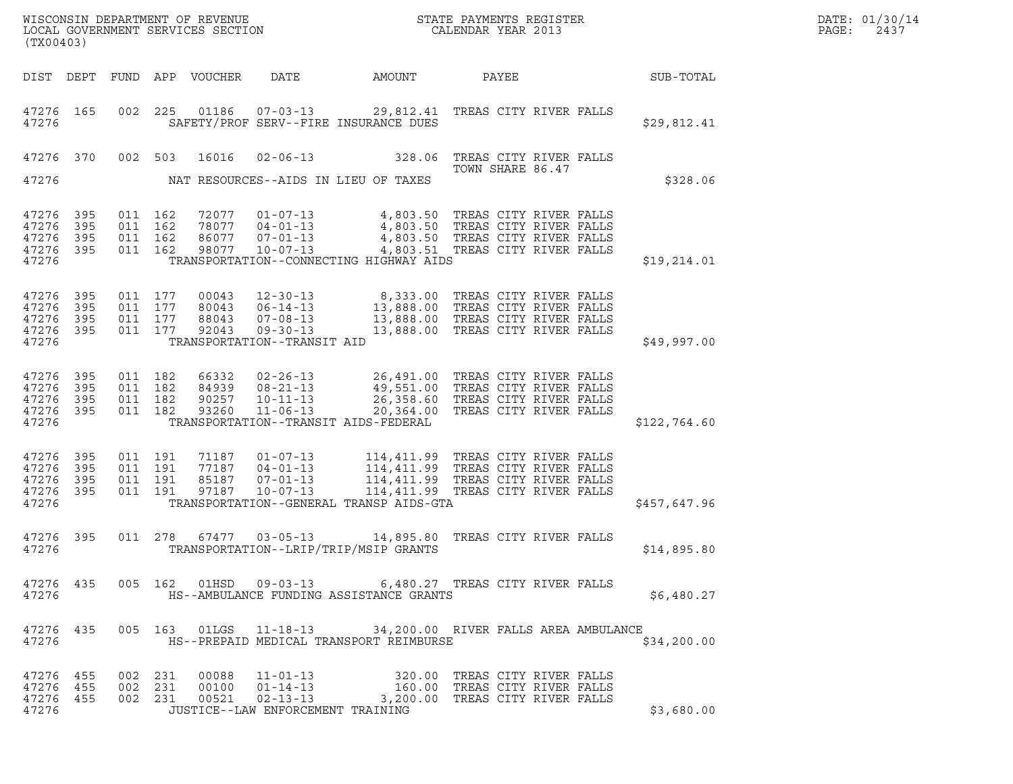| WISCONSIN DEPARTMENT OF REVENUE<br>LOCAL GOVERNMENT SERVICES SECTION<br>(TX00403) |                            |                                          |         |                                  |                                                                                                     | $\mathbf{M}$<br>STATE PAYMENTS REGISTER<br>CALENDAR YEAR 2013                                                                                                                               |  |                                            |  |              | DATE: 01/30/14<br>PAGE:<br>2437 |
|-----------------------------------------------------------------------------------|----------------------------|------------------------------------------|---------|----------------------------------|-----------------------------------------------------------------------------------------------------|---------------------------------------------------------------------------------------------------------------------------------------------------------------------------------------------|--|--------------------------------------------|--|--------------|---------------------------------|
| DIST DEPT                                                                         |                            |                                          |         | FUND APP VOUCHER                 | DATE                                                                                                | AMOUNT                                                                                                                                                                                      |  | PAYEE                                      |  | SUB-TOTAL    |                                 |
| 47276 165<br>47276                                                                |                            | 002                                      | 225     |                                  | 01186  07-03-13                                                                                     | 29,812.41 TREAS CITY RIVER FALLS<br>SAFETY/PROF SERV--FIRE INSURANCE DUES                                                                                                                   |  |                                            |  | \$29,812.41  |                                 |
| 47276 370                                                                         |                            | 002 503                                  |         | 16016                            | $02 - 06 - 13$                                                                                      | 328.06                                                                                                                                                                                      |  | TREAS CITY RIVER FALLS<br>TOWN SHARE 86.47 |  |              |                                 |
| 47276                                                                             |                            |                                          |         |                                  |                                                                                                     | NAT RESOURCES--AIDS IN LIEU OF TAXES                                                                                                                                                        |  |                                            |  | \$328.06     |                                 |
| 47276<br>47276<br>47276<br>47276<br>47276                                         | 395<br>395<br>395<br>395   | 011 162<br>011 162<br>011 162<br>011 162 |         | 72077<br>78077<br>86077<br>98077 | $01 - 07 - 13$<br>$04 - 01 - 13$<br>$07 - 01 - 13$<br>$10 - 07 - 13$                                | 4,803.50 TREAS CITY RIVER FALLS<br>4,803.50 TREAS CITY RIVER FALLS<br>4,803.50 TREAS CITY RIVER FALLS<br>4,803.51 TREAS CITY RIVER FALLS<br>TRANSPORTATION--CONNECTING HIGHWAY AIDS         |  |                                            |  | \$19, 214.01 |                                 |
| 47276<br>47276<br>47276<br>47276<br>47276                                         | 395<br>395<br>395<br>395   | 011 177<br>011 177<br>011 177<br>011 177 |         | 00043<br>80043<br>88043<br>92043 | $12 - 30 - 13$<br>$06 - 14 - 13$<br>$07 - 08 - 13$<br>$09 - 30 - 13$<br>TRANSPORTATION--TRANSIT AID | 8,333.00 TREAS CITY RIVER FALLS<br>13,888.00 TREAS CITY RIVER FALLS<br>13,888.00 TREAS CITY RIVER FALLS<br>13,888.00 TREAS CITY RIVER FALLS                                                 |  |                                            |  | \$49,997.00  |                                 |
| 47276<br>47276<br>47276<br>47276<br>47276                                         | 395<br>395<br>395<br>- 395 | 011 182<br>011 182<br>011 182<br>011 182 |         | 66332<br>84939<br>90257<br>93260 | $02 - 26 - 13$<br>$08 - 21 - 13$<br>$10 - 11 - 13$<br>$11 - 06 - 13$                                | 26,491.00 TREAS CITY RIVER FALLS<br>49,551.00 TREAS CITY RIVER FALLS<br>26,358.60 TREAS CITY RIVER FALLS<br>20,364.00 TREAS CITY RIVER FALLS<br>TRANSPORTATION--TRANSIT AIDS-FEDERAL        |  |                                            |  | \$122,764.60 |                                 |
| 47276<br>47276<br>47276<br>47276<br>47276                                         | 395<br>395<br>395<br>395   | 011 191<br>011 191<br>011 191<br>011 191 |         | 71187<br>77187<br>85187<br>97187 | $01 - 07 - 13$<br>$04 - 01 - 13$<br>$07 - 01 - 13$<br>$10 - 07 - 13$                                | 114,411.99 TREAS CITY RIVER FALLS<br>114,411.99 TREAS CITY RIVER FALLS<br>114,411.99 TREAS CITY RIVER FALLS<br>114,411.99 TREAS CITY RIVER FALLS<br>TRANSPORTATION--GENERAL TRANSP AIDS-GTA |  |                                            |  | \$457,647.96 |                                 |
| 47276<br>47276                                                                    | 395                        |                                          | 011 278 | 67477                            | $03 - 05 - 13$                                                                                      | 14,895.80 TREAS CITY RIVER FALLS<br>TRANSPORTATION--LRIP/TRIP/MSIP GRANTS                                                                                                                   |  |                                            |  | \$14,895.80  |                                 |
| 47276                                                                             |                            |                                          |         |                                  |                                                                                                     | 47276 435 005 162 01HSD 09-03-13 6,480.27 TREAS CITY RIVER FALLS<br>HS--AMBULANCE FUNDING ASSISTANCE GRANTS                                                                                 |  |                                            |  | \$6,480.27   |                                 |
| 47276 435<br>47276                                                                |                            |                                          |         |                                  |                                                                                                     | 005  163  01LGS  11-18-13  34, 200.00  RIVER FALLS AREA AMBULANCE<br>HS--PREPAID MEDICAL TRANSPORT REIMBURSE                                                                                |  |                                            |  | \$34,200.00  |                                 |
| 47276 455<br>47276 455<br>47276<br>47276                                          | 455                        | 002 231<br>002 231                       | 002 231 | 00088                            | $11 - 01 - 13$<br>00100  01-14-13<br>JUSTICE--LAW ENFORCEMENT TRAINING                              | 320.00 TREAS CITY RIVER FALLS<br>160.00 TREAS CITY RIVER FALLS<br>00521 02-13-13 3,200.00 TREAS CITY RIVER FALLS                                                                            |  |                                            |  | \$3,680.00   |                                 |